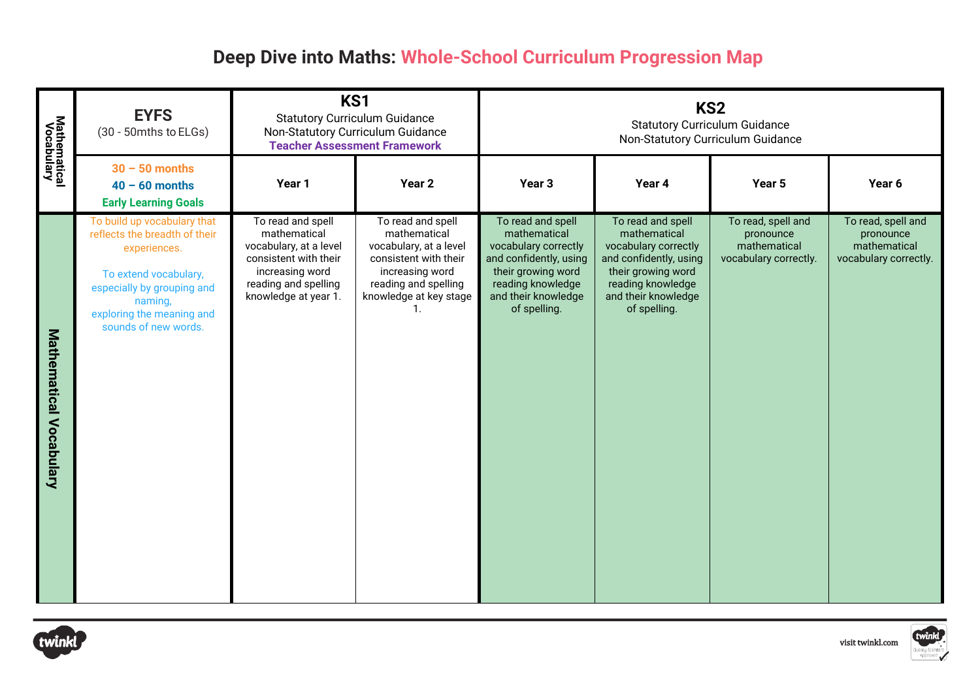## **Deep Dive into Maths: Whole-School Curriculum Progression Map**

| <b>Mathematical</b><br>Vocabulary | <b>EYFS</b><br>(30 - 50mths to ELGs)                                                                                                                                                                | KS1<br><b>Statutory Curriculum Guidance</b><br>Non-Statutory Curriculum Guidance<br><b>Teacher Assessment Framework</b>                                 |                                                                                                                                                           | KS <sub>2</sub><br><b>Statutory Curriculum Guidance</b><br>Non-Statutory Curriculum Guidance                                                                          |                                                                                                                                                                       |                                                                          |                                                                          |
|-----------------------------------|-----------------------------------------------------------------------------------------------------------------------------------------------------------------------------------------------------|---------------------------------------------------------------------------------------------------------------------------------------------------------|-----------------------------------------------------------------------------------------------------------------------------------------------------------|-----------------------------------------------------------------------------------------------------------------------------------------------------------------------|-----------------------------------------------------------------------------------------------------------------------------------------------------------------------|--------------------------------------------------------------------------|--------------------------------------------------------------------------|
|                                   | $30 - 50$ months<br>$40 - 60$ months<br><b>Early Learning Goals</b>                                                                                                                                 | Year 1                                                                                                                                                  | Year 2                                                                                                                                                    | Year <sub>3</sub>                                                                                                                                                     | Year 4                                                                                                                                                                | Year 5                                                                   | Year 6                                                                   |
| <b>Mathematical Vocabulary</b>    | To build up vocabulary that<br>reflects the breadth of their<br>experiences.<br>To extend vocabulary,<br>especially by grouping and<br>naming,<br>exploring the meaning and<br>sounds of new words. | To read and spell<br>mathematical<br>vocabulary, at a level<br>consistent with their<br>increasing word<br>reading and spelling<br>knowledge at year 1. | To read and spell<br>mathematical<br>vocabulary, at a level<br>consistent with their<br>increasing word<br>reading and spelling<br>knowledge at key stage | To read and spell<br>mathematical<br>vocabulary correctly<br>and confidently, using<br>their growing word<br>reading knowledge<br>and their knowledge<br>of spelling. | To read and spell<br>mathematical<br>vocabulary correctly<br>and confidently, using<br>their growing word<br>reading knowledge<br>and their knowledge<br>of spelling. | To read, spell and<br>pronounce<br>mathematical<br>vocabulary correctly. | To read, spell and<br>pronounce<br>mathematical<br>vocabulary correctly. |



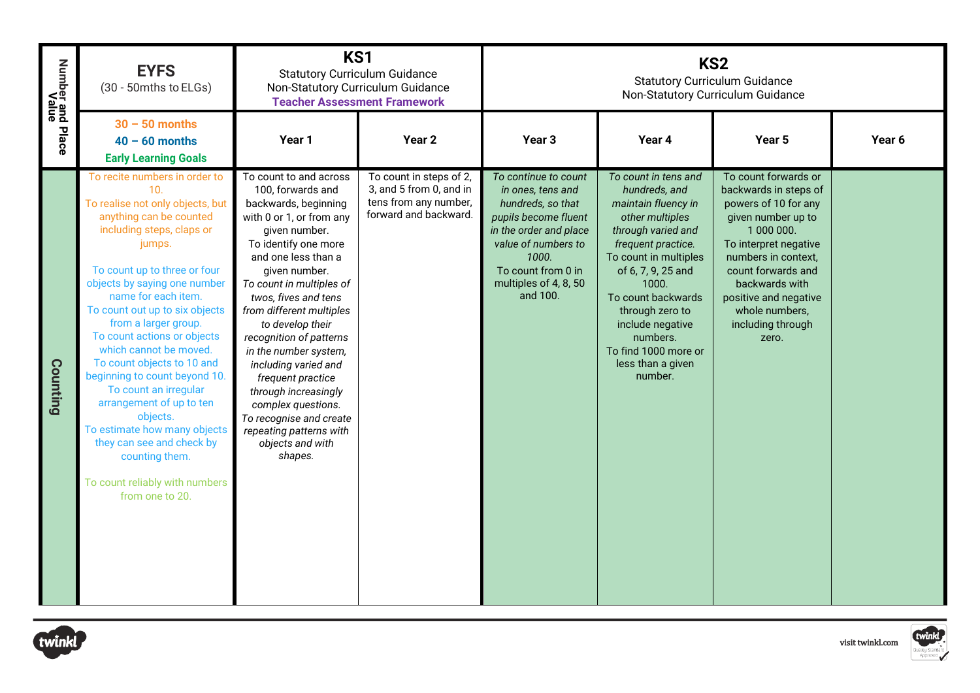| Number and Place<br>Walue | <b>EYFS</b><br>(30 - 50mths to ELGs)                                                                                                                                                                                                                                                                                                                                                                                                                                                                                                                                                                                     | KS <sub>1</sub><br><b>Statutory Curriculum Guidance</b><br>Non-Statutory Curriculum Guidance<br><b>Teacher Assessment Framework</b>                                                                                                                                                                                                                                                                                                                                                                                      |                                                                                                      |                                                                                                                                                                                                             |                                                                                                                                                                                                                                                                                                                      | KS <sub>2</sub><br><b>Statutory Curriculum Guidance</b><br>Non-Statutory Curriculum Guidance                                                                                                                                                                               |                            |
|---------------------------|--------------------------------------------------------------------------------------------------------------------------------------------------------------------------------------------------------------------------------------------------------------------------------------------------------------------------------------------------------------------------------------------------------------------------------------------------------------------------------------------------------------------------------------------------------------------------------------------------------------------------|--------------------------------------------------------------------------------------------------------------------------------------------------------------------------------------------------------------------------------------------------------------------------------------------------------------------------------------------------------------------------------------------------------------------------------------------------------------------------------------------------------------------------|------------------------------------------------------------------------------------------------------|-------------------------------------------------------------------------------------------------------------------------------------------------------------------------------------------------------------|----------------------------------------------------------------------------------------------------------------------------------------------------------------------------------------------------------------------------------------------------------------------------------------------------------------------|----------------------------------------------------------------------------------------------------------------------------------------------------------------------------------------------------------------------------------------------------------------------------|----------------------------|
|                           | $30 - 50$ months<br>$40 - 60$ months<br><b>Early Learning Goals</b>                                                                                                                                                                                                                                                                                                                                                                                                                                                                                                                                                      | Year 1                                                                                                                                                                                                                                                                                                                                                                                                                                                                                                                   | Year 2                                                                                               | Year <sub>3</sub>                                                                                                                                                                                           | Year 4                                                                                                                                                                                                                                                                                                               | Year 5                                                                                                                                                                                                                                                                     | Year 6                     |
| Counting                  | To recite numbers in order to<br>10.<br>To realise not only objects, but<br>anything can be counted<br>including steps, claps or<br>jumps.<br>To count up to three or four<br>objects by saying one number<br>name for each item.<br>To count out up to six objects<br>from a larger group.<br>To count actions or objects<br>which cannot be moved.<br>To count objects to 10 and<br>beginning to count beyond 10.<br>To count an irregular<br>arrangement of up to ten<br>objects.<br>To estimate how many objects<br>they can see and check by<br>counting them.<br>To count reliably with numbers<br>from one to 20. | To count to and across<br>100, forwards and<br>backwards, beginning<br>with 0 or 1, or from any<br>given number.<br>To identify one more<br>and one less than a<br>given number.<br>To count in multiples of<br>twos, fives and tens<br>from different multiples<br>to develop their<br>recognition of patterns<br>in the number system,<br>including varied and<br>frequent practice<br>through increasingly<br>complex questions.<br>To recognise and create<br>repeating patterns with<br>objects and with<br>shapes. | To count in steps of 2,<br>3, and 5 from 0, and in<br>tens from any number,<br>forward and backward. | To continue to count<br>in ones, tens and<br>hundreds, so that<br>pupils become fluent<br>in the order and place<br>value of numbers to<br>1000.<br>To count from 0 in<br>multiples of 4, 8, 50<br>and 100. | To count in tens and<br>hundreds, and<br>maintain fluency in<br>other multiples<br>through varied and<br>frequent practice.<br>To count in multiples<br>of 6, 7, 9, 25 and<br>1000.<br>To count backwards<br>through zero to<br>include negative<br>numbers.<br>To find 1000 more or<br>less than a given<br>number. | To count forwards or<br>backwards in steps of<br>powers of 10 for any<br>given number up to<br>1 000 000.<br>To interpret negative<br>numbers in context,<br>count forwards and<br>backwards with<br>positive and negative<br>whole numbers,<br>including through<br>zero. |                            |
| :winkl                    |                                                                                                                                                                                                                                                                                                                                                                                                                                                                                                                                                                                                                          |                                                                                                                                                                                                                                                                                                                                                                                                                                                                                                                          |                                                                                                      |                                                                                                                                                                                                             |                                                                                                                                                                                                                                                                                                                      |                                                                                                                                                                                                                                                                            | twinkl<br>visit twinkl.com |



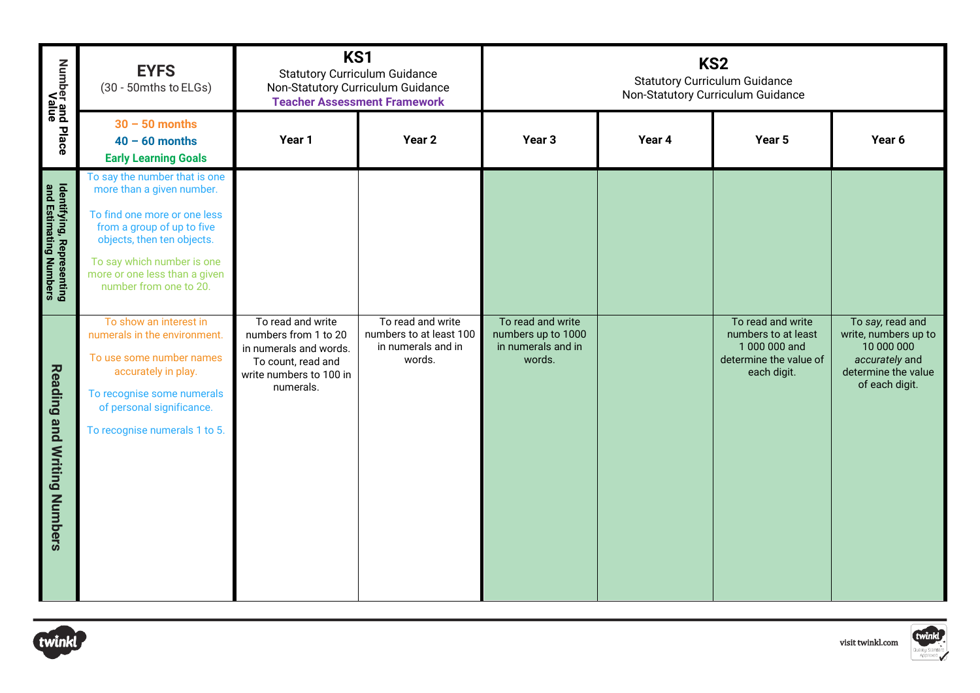| Number and Place<br>Value                           | <b>EYFS</b><br>(30 - 50mths to ELGs)                                                                                                                                                                                                            | KS1<br><b>Statutory Curriculum Guidance</b><br>Non-Statutory Curriculum Guidance                                                  | <b>Teacher Assessment Framework</b>                                          | KS <sub>2</sub><br><b>Statutory Curriculum Guidance</b><br>Non-Statutory Curriculum Guidance |        |                                                                                                    |                                                                                                                   |
|-----------------------------------------------------|-------------------------------------------------------------------------------------------------------------------------------------------------------------------------------------------------------------------------------------------------|-----------------------------------------------------------------------------------------------------------------------------------|------------------------------------------------------------------------------|----------------------------------------------------------------------------------------------|--------|----------------------------------------------------------------------------------------------------|-------------------------------------------------------------------------------------------------------------------|
|                                                     | $30 - 50$ months<br>$40 - 60$ months<br><b>Early Learning Goals</b>                                                                                                                                                                             | Year 1                                                                                                                            | Year <sub>2</sub>                                                            | Year <sub>3</sub>                                                                            | Year 4 | Year 5                                                                                             | Year 6                                                                                                            |
| Identifying, Representing<br>and Estimating Numbers | To say the number that is one<br>more than a given number.<br>To find one more or one less<br>from a group of up to five<br>objects, then ten objects.<br>To say which number is one<br>more or one less than a given<br>number from one to 20. |                                                                                                                                   |                                                                              |                                                                                              |        |                                                                                                    |                                                                                                                   |
| <b>Reading and Writing Numbers</b>                  | To show an interest in<br>numerals in the environment.<br>To use some number names<br>accurately in play.<br>To recognise some numerals<br>of personal significance.<br>To recognise numerals 1 to 5.                                           | To read and write<br>numbers from 1 to 20<br>in numerals and words.<br>To count, read and<br>write numbers to 100 in<br>numerals. | To read and write<br>numbers to at least 100<br>in numerals and in<br>words. | To read and write<br>numbers up to 1000<br>in numerals and in<br>words.                      |        | To read and write<br>numbers to at least<br>1 000 000 and<br>determine the value of<br>each digit. | To say, read and<br>write, numbers up to<br>10 000 000<br>accurately and<br>determine the value<br>of each digit. |
| twinkl                                              |                                                                                                                                                                                                                                                 |                                                                                                                                   |                                                                              |                                                                                              |        |                                                                                                    | twinkl<br>visit twinkl.com                                                                                        |



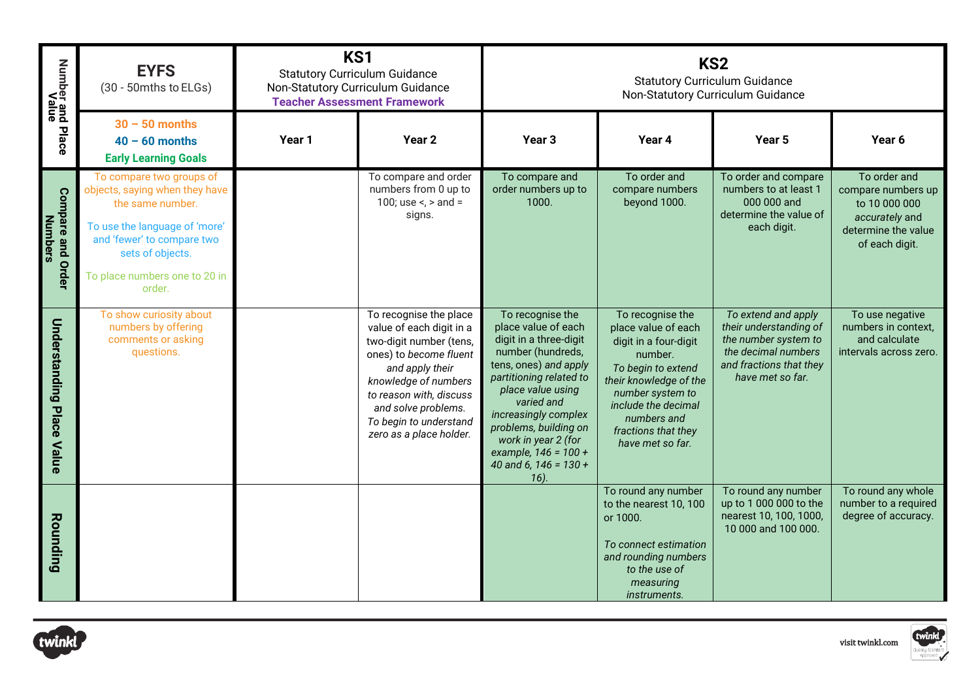| Number and Place<br>Value                     | <b>EYFS</b><br>(30 - 50mths to ELGs)                                                                                                                                                                         | KS1    | <b>Statutory Curriculum Guidance</b><br>Non-Statutory Curriculum Guidance<br><b>Teacher Assessment Framework</b>                                                                                                                                          | KS <sub>2</sub><br><b>Statutory Curriculum Guidance</b><br>Non-Statutory Curriculum Guidance                                                                                                                                                                                                                     |                                                                                                                                                                                                                                  |                                                                                                                                             |                                                                                                                |  |
|-----------------------------------------------|--------------------------------------------------------------------------------------------------------------------------------------------------------------------------------------------------------------|--------|-----------------------------------------------------------------------------------------------------------------------------------------------------------------------------------------------------------------------------------------------------------|------------------------------------------------------------------------------------------------------------------------------------------------------------------------------------------------------------------------------------------------------------------------------------------------------------------|----------------------------------------------------------------------------------------------------------------------------------------------------------------------------------------------------------------------------------|---------------------------------------------------------------------------------------------------------------------------------------------|----------------------------------------------------------------------------------------------------------------|--|
|                                               | $30 - 50$ months<br>$40 - 60$ months<br><b>Early Learning Goals</b>                                                                                                                                          | Year 1 | Year <sub>2</sub>                                                                                                                                                                                                                                         | Year <sub>3</sub>                                                                                                                                                                                                                                                                                                | Year 4                                                                                                                                                                                                                           | Year <sub>5</sub>                                                                                                                           | Year 6                                                                                                         |  |
| <b>Compare and Order</b><br><b>Numbers</b>    | To compare two groups of<br>objects, saying when they have<br>the same number.<br>To use the language of 'more'<br>and 'fewer' to compare two<br>sets of objects.<br>To place numbers one to 20 in<br>order. |        | To compare and order<br>numbers from 0 up to<br>100; use <, > and =<br>signs.                                                                                                                                                                             | To compare and<br>order numbers up to<br>1000.                                                                                                                                                                                                                                                                   | To order and<br>compare numbers<br>beyond 1000.                                                                                                                                                                                  | To order and compare<br>numbers to at least 1<br>000 000 and<br>determine the value of<br>each digit.                                       | To order and<br>compare numbers up<br>to 10 000 000<br>accurately and<br>determine the value<br>of each digit. |  |
| <b>Understanding</b><br><b>Place</b><br>Value | To show curiosity about<br>numbers by offering<br>comments or asking<br>questions.                                                                                                                           |        | To recognise the place<br>value of each digit in a<br>two-digit number (tens,<br>ones) to become fluent<br>and apply their<br>knowledge of numbers<br>to reason with, discuss<br>and solve problems.<br>To begin to understand<br>zero as a place holder. | To recognise the<br>place value of each<br>digit in a three-digit<br>number (hundreds,<br>tens, ones) and apply<br>partitioning related to<br>place value using<br>varied and<br>increasingly complex<br>problems, building on<br>work in year 2 (for<br>example, $146 = 100 +$<br>40 and 6, 146 = 130 +<br>16). | To recognise the<br>place value of each<br>digit in a four-digit<br>number.<br>To begin to extend<br>their knowledge of the<br>number system to<br>include the decimal<br>numbers and<br>fractions that they<br>have met so far. | To extend and apply<br>their understanding of<br>the number system to<br>the decimal numbers<br>and fractions that they<br>have met so far. | To use negative<br>numbers in context,<br>and calculate<br>intervals across zero.                              |  |
| Rounding                                      |                                                                                                                                                                                                              |        |                                                                                                                                                                                                                                                           |                                                                                                                                                                                                                                                                                                                  | To round any number<br>to the nearest 10, 100<br>or 1000.<br>To connect estimation<br>and rounding numbers<br>to the use of<br>measuring<br>instruments.                                                                         | To round any number<br>up to 1 000 000 to the<br>nearest 10, 100, 1000,<br>10 000 and 100 000.                                              | To round any whole<br>number to a required<br>degree of accuracy.                                              |  |
| twinkl                                        |                                                                                                                                                                                                              |        |                                                                                                                                                                                                                                                           |                                                                                                                                                                                                                                                                                                                  |                                                                                                                                                                                                                                  |                                                                                                                                             | twinkl<br>visit twinkl.com                                                                                     |  |



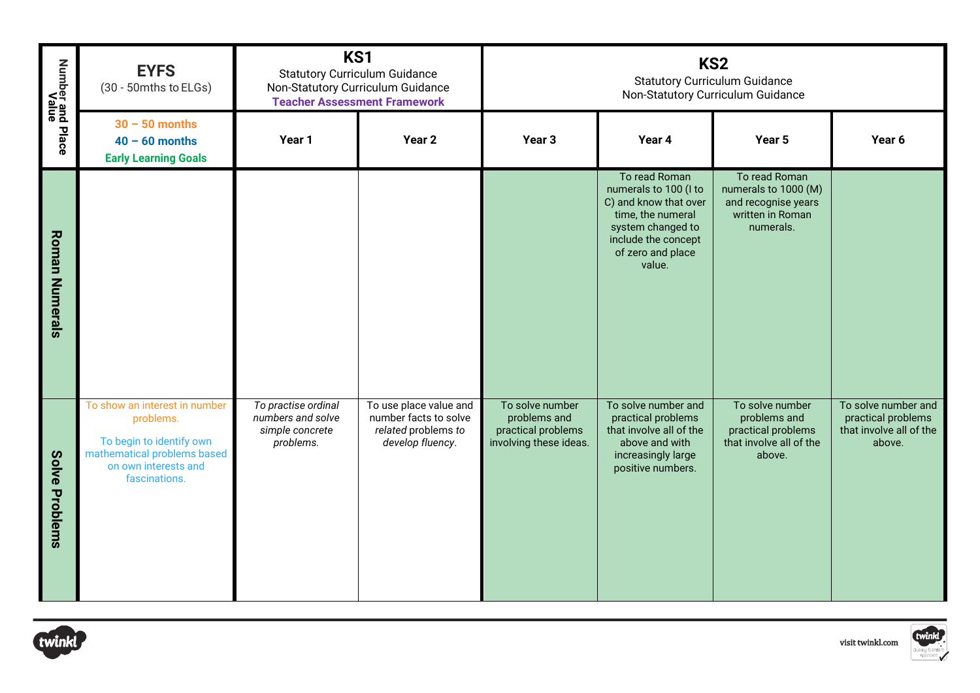| Number and Place<br>Value | <b>EYFS</b><br>(30 - 50mths to ELGs)                                                                                                           | KS1<br><b>Statutory Curriculum Guidance</b><br>Non-Statutory Curriculum Guidance<br><b>Teacher Assessment Framework</b> |                                                                                            | KS <sub>2</sub><br><b>Statutory Curriculum Guidance</b><br>Non-Statutory Curriculum Guidance |                                                                                                                                                                 |                                                                                               |                                                                                |
|---------------------------|------------------------------------------------------------------------------------------------------------------------------------------------|-------------------------------------------------------------------------------------------------------------------------|--------------------------------------------------------------------------------------------|----------------------------------------------------------------------------------------------|-----------------------------------------------------------------------------------------------------------------------------------------------------------------|-----------------------------------------------------------------------------------------------|--------------------------------------------------------------------------------|
|                           | $30 - 50$ months<br>$40 - 60$ months<br><b>Early Learning Goals</b>                                                                            | Year 1                                                                                                                  | Year <sub>2</sub>                                                                          | Year <sub>3</sub>                                                                            | Year 4                                                                                                                                                          | Year 5                                                                                        | Year 6                                                                         |
| <b>Roman Numerals</b>     |                                                                                                                                                |                                                                                                                         |                                                                                            |                                                                                              | To read Roman<br>numerals to 100 (I to<br>C) and know that over<br>time, the numeral<br>system changed to<br>include the concept<br>of zero and place<br>value. | To read Roman<br>numerals to 1000 (M)<br>and recognise years<br>written in Roman<br>numerals. |                                                                                |
| Solve Problems            | To show an interest in number<br>problems.<br>To begin to identify own<br>mathematical problems based<br>on own interests and<br>fascinations. | To practise ordinal<br>numbers and solve<br>simple concrete<br>problems.                                                | To use place value and<br>number facts to solve<br>related problems to<br>develop fluency. | To solve number<br>problems and<br>practical problems<br>involving these ideas.              | To solve number and<br>practical problems<br>that involve all of the<br>above and with<br>increasingly large<br>positive numbers.                               | To solve number<br>problems and<br>practical problems<br>that involve all of the<br>above.    | To solve number and<br>practical problems<br>that involve all of the<br>above. |



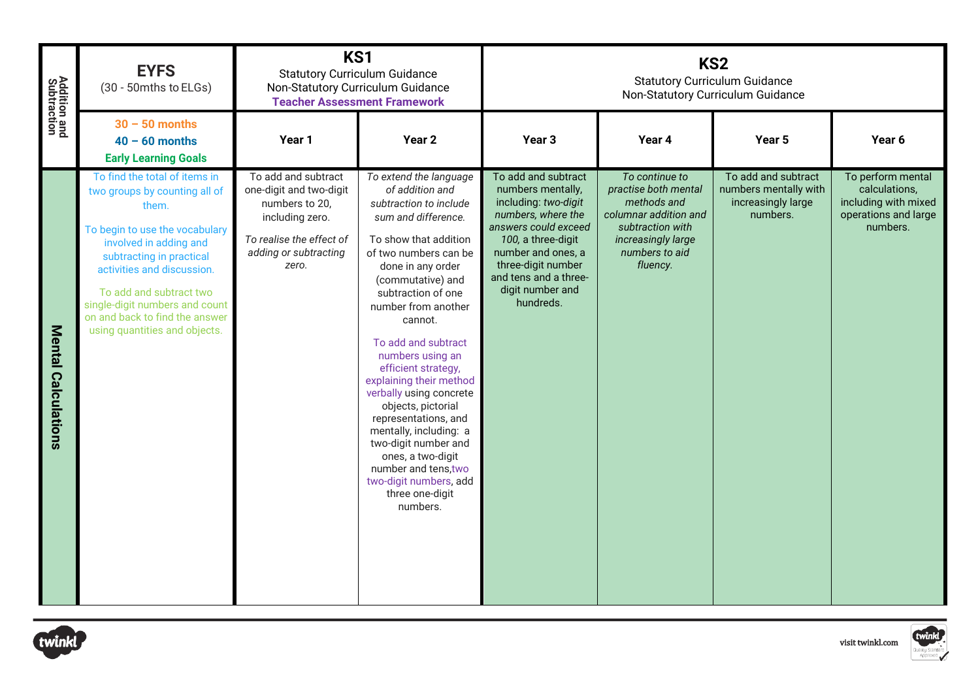| <b>Addition and<br/>Subtraction</b> | <b>EYFS</b><br>(30 - 50mths to ELGs)                                                                                                                                                                                                                                                                                          | KS1<br><b>Statutory Curriculum Guidance</b><br>Non-Statutory Curriculum Guidance                                                                  | <b>Teacher Assessment Framework</b>                                                                                                                                                                                                                                                                                                                                                                                                                                                                                                                                          |                                                                                                                                                                                                                                            | <b>Statutory Curriculum Guidance</b><br>Non-Statutory Curriculum Guidance                                                                              | KS <sub>2</sub>                                                                |                                                                                                |
|-------------------------------------|-------------------------------------------------------------------------------------------------------------------------------------------------------------------------------------------------------------------------------------------------------------------------------------------------------------------------------|---------------------------------------------------------------------------------------------------------------------------------------------------|------------------------------------------------------------------------------------------------------------------------------------------------------------------------------------------------------------------------------------------------------------------------------------------------------------------------------------------------------------------------------------------------------------------------------------------------------------------------------------------------------------------------------------------------------------------------------|--------------------------------------------------------------------------------------------------------------------------------------------------------------------------------------------------------------------------------------------|--------------------------------------------------------------------------------------------------------------------------------------------------------|--------------------------------------------------------------------------------|------------------------------------------------------------------------------------------------|
|                                     | $30 - 50$ months<br>$40 - 60$ months<br><b>Early Learning Goals</b>                                                                                                                                                                                                                                                           | Year 1                                                                                                                                            | Year 2                                                                                                                                                                                                                                                                                                                                                                                                                                                                                                                                                                       | Year <sub>3</sub>                                                                                                                                                                                                                          | Year 4                                                                                                                                                 | Year 5                                                                         | Year 6                                                                                         |
| <b>Mental Calculations</b>          | To find the total of items in<br>two groups by counting all of<br>them.<br>To begin to use the vocabulary<br>involved in adding and<br>subtracting in practical<br>activities and discussion.<br>To add and subtract two<br>single-digit numbers and count<br>on and back to find the answer<br>using quantities and objects. | To add and subtract<br>one-digit and two-digit<br>numbers to 20,<br>including zero.<br>To realise the effect of<br>adding or subtracting<br>zero. | To extend the language<br>of addition and<br>subtraction to include<br>sum and difference.<br>To show that addition<br>of two numbers can be<br>done in any order<br>(commutative) and<br>subtraction of one<br>number from another<br>cannot.<br>To add and subtract<br>numbers using an<br>efficient strategy,<br>explaining their method<br>verbally using concrete<br>objects, pictorial<br>representations, and<br>mentally, including: a<br>two-digit number and<br>ones, a two-digit<br>number and tens, two<br>two-digit numbers, add<br>three one-digit<br>numbers. | To add and subtract<br>numbers mentally,<br>including: two-digit<br>numbers, where the<br>answers could exceed<br>100, a three-digit<br>number and ones, a<br>three-digit number<br>and tens and a three-<br>digit number and<br>hundreds. | To continue to<br>practise both mental<br>methods and<br>columnar addition and<br>subtraction with<br>increasingly large<br>numbers to aid<br>fluency. | To add and subtract<br>numbers mentally with<br>increasingly large<br>numbers. | To perform mental<br>calculations,<br>including with mixed<br>operations and large<br>numbers. |
| twinkl                              |                                                                                                                                                                                                                                                                                                                               |                                                                                                                                                   |                                                                                                                                                                                                                                                                                                                                                                                                                                                                                                                                                                              |                                                                                                                                                                                                                                            |                                                                                                                                                        |                                                                                | twinkl<br>visit twinkl.com                                                                     |



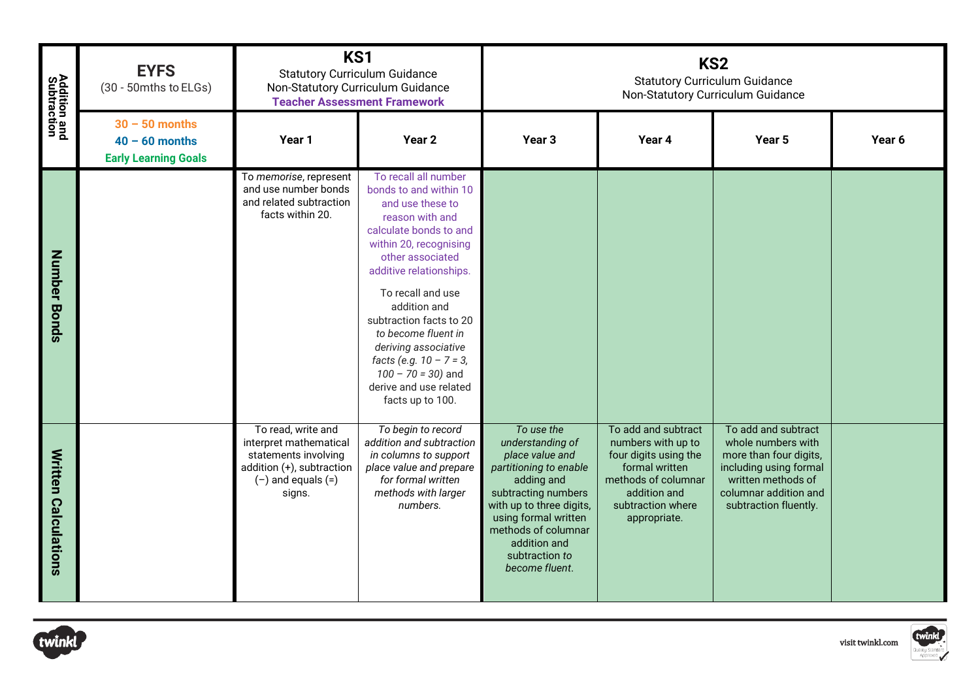| <b>Addition and<br/>Subtraction</b> | <b>EYFS</b><br>(30 - 50mths to ELGs)                                | KS1<br><b>Statutory Curriculum Guidance</b><br>Non-Statutory Curriculum Guidance                                                         | <b>Teacher Assessment Framework</b>                                                                                                                                                                                                                                                                                                                                                                          | KS <sub>2</sub><br><b>Statutory Curriculum Guidance</b><br>Non-Statutory Curriculum Guidance                                                                                                                                                    |                                                                                                                                                                  |                                                                                                                                                                       |                            |
|-------------------------------------|---------------------------------------------------------------------|------------------------------------------------------------------------------------------------------------------------------------------|--------------------------------------------------------------------------------------------------------------------------------------------------------------------------------------------------------------------------------------------------------------------------------------------------------------------------------------------------------------------------------------------------------------|-------------------------------------------------------------------------------------------------------------------------------------------------------------------------------------------------------------------------------------------------|------------------------------------------------------------------------------------------------------------------------------------------------------------------|-----------------------------------------------------------------------------------------------------------------------------------------------------------------------|----------------------------|
|                                     | $30 - 50$ months<br>$40 - 60$ months<br><b>Early Learning Goals</b> | Year 1                                                                                                                                   | Year 2                                                                                                                                                                                                                                                                                                                                                                                                       | Year <sub>3</sub>                                                                                                                                                                                                                               | Year 4                                                                                                                                                           | Year 5                                                                                                                                                                | Year 6                     |
| Number Bonds                        |                                                                     | To memorise, represent<br>and use number bonds<br>and related subtraction<br>facts within 20.                                            | To recall all number<br>bonds to and within 10<br>and use these to<br>reason with and<br>calculate bonds to and<br>within 20, recognising<br>other associated<br>additive relationships.<br>To recall and use<br>addition and<br>subtraction facts to 20<br>to become fluent in<br>deriving associative<br>facts (e.g. $10 - 7 = 3$ ,<br>$100 - 70 = 30$ ) and<br>derive and use related<br>facts up to 100. |                                                                                                                                                                                                                                                 |                                                                                                                                                                  |                                                                                                                                                                       |                            |
| <b>Written Calculations</b>         |                                                                     | To read, write and<br>interpret mathematical<br>statements involving<br>addition $(+)$ , subtraction<br>$(-)$ and equals $(=)$<br>signs. | To begin to record<br>addition and subtraction<br>in columns to support<br>place value and prepare<br>for formal written<br>methods with larger<br>numbers.                                                                                                                                                                                                                                                  | To use the<br>understanding of<br>place value and<br>partitioning to enable<br>adding and<br>subtracting numbers<br>with up to three digits,<br>using formal written<br>methods of columnar<br>addition and<br>subtraction to<br>become fluent. | To add and subtract<br>numbers with up to<br>four digits using the<br>formal written<br>methods of columnar<br>addition and<br>subtraction where<br>appropriate. | To add and subtract<br>whole numbers with<br>more than four digits,<br>including using formal<br>written methods of<br>columnar addition and<br>subtraction fluently. |                            |
| twinkl                              |                                                                     |                                                                                                                                          |                                                                                                                                                                                                                                                                                                                                                                                                              |                                                                                                                                                                                                                                                 |                                                                                                                                                                  |                                                                                                                                                                       | twinkl<br>visit twinkl.com |



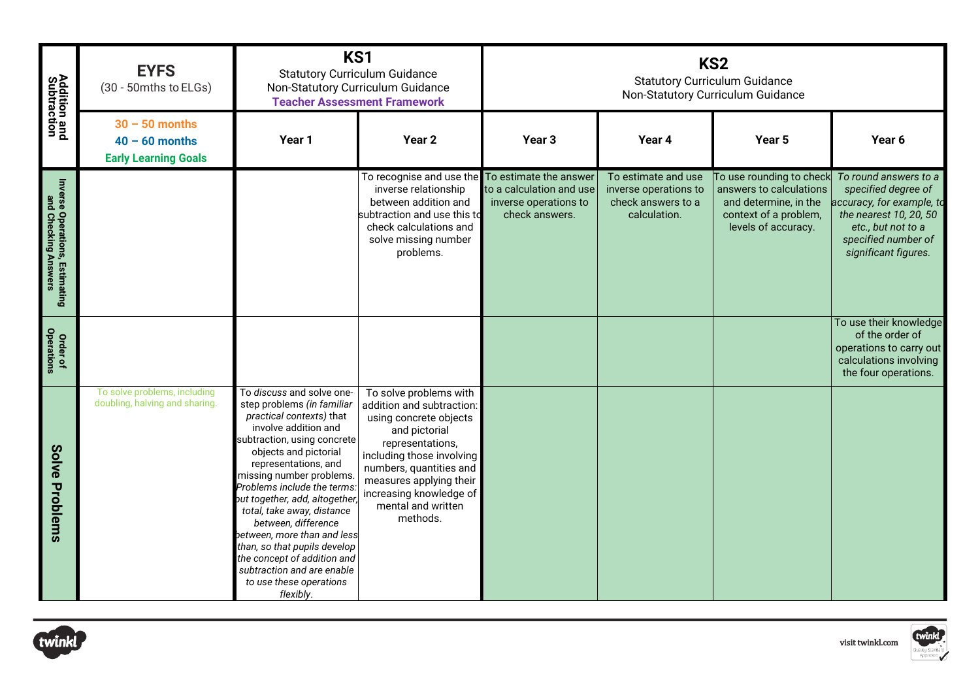| <b>Addition and<br/>Subtraction</b>                    | <b>EYFS</b><br>(30 - 50mths to ELGs)                                | KS1<br><b>Statutory Curriculum Guidance</b><br>Non-Statutory Curriculum Guidance<br><b>Teacher Assessment Framework</b>                                                                                                                                                                                                                                                                                                                                                                                          |                                                                                                                                                                                                                                                                    | KS <sub>2</sub><br><b>Statutory Curriculum Guidance</b><br>Non-Statutory Curriculum Guidance |                                                                                    |                                                                                                                              |                                                                                                                                                                          |  |
|--------------------------------------------------------|---------------------------------------------------------------------|------------------------------------------------------------------------------------------------------------------------------------------------------------------------------------------------------------------------------------------------------------------------------------------------------------------------------------------------------------------------------------------------------------------------------------------------------------------------------------------------------------------|--------------------------------------------------------------------------------------------------------------------------------------------------------------------------------------------------------------------------------------------------------------------|----------------------------------------------------------------------------------------------|------------------------------------------------------------------------------------|------------------------------------------------------------------------------------------------------------------------------|--------------------------------------------------------------------------------------------------------------------------------------------------------------------------|--|
|                                                        | $30 - 50$ months<br>$40 - 60$ months<br><b>Early Learning Goals</b> | Year 1                                                                                                                                                                                                                                                                                                                                                                                                                                                                                                           | Year <sub>2</sub>                                                                                                                                                                                                                                                  | Year <sub>3</sub>                                                                            | Year 4                                                                             | Year <sub>5</sub>                                                                                                            | Year 6                                                                                                                                                                   |  |
| Inverse Operations, Estimating<br>and Checking Answers |                                                                     |                                                                                                                                                                                                                                                                                                                                                                                                                                                                                                                  | To recognise and use the To estimate the answer<br>inverse relationship<br>between addition and<br>subtraction and use this to<br>check calculations and<br>solve missing number<br>problems.                                                                      | to a calculation and use<br>inverse operations to<br>check answers.                          | To estimate and use<br>inverse operations to<br>check answers to a<br>calculation. | To use rounding to check<br>answers to calculations<br>and determine, in the<br>context of a problem,<br>levels of accuracy. | To round answers to a<br>specified degree of<br>accuracy, for example, to<br>the nearest 10, 20, 50<br>etc., but not to a<br>specified number of<br>significant figures. |  |
| Order of<br>Operations                                 |                                                                     |                                                                                                                                                                                                                                                                                                                                                                                                                                                                                                                  |                                                                                                                                                                                                                                                                    |                                                                                              |                                                                                    |                                                                                                                              | To use their knowledge<br>of the order of<br>operations to carry out<br>calculations involving<br>the four operations.                                                   |  |
| Solve Problems                                         | To solve problems, including<br>doubling, halving and sharing.      | To discuss and solve one-<br>step problems (in familiar<br>practical contexts) that<br>involve addition and<br>subtraction, using concrete<br>objects and pictorial<br>representations, and<br>missing number problems.<br>Problems include the terms.<br>but together, add, altogether<br>total, take away, distance<br>between, difference<br>between, more than and less<br>than, so that pupils develop<br>the concept of addition and<br>subtraction and are enable<br>to use these operations<br>flexibly. | To solve problems with<br>addition and subtraction:<br>using concrete objects<br>and pictorial<br>representations,<br>including those involving<br>numbers, quantities and<br>measures applying their<br>increasing knowledge of<br>mental and written<br>methods. |                                                                                              |                                                                                    |                                                                                                                              |                                                                                                                                                                          |  |
| twinkl                                                 |                                                                     |                                                                                                                                                                                                                                                                                                                                                                                                                                                                                                                  |                                                                                                                                                                                                                                                                    |                                                                                              |                                                                                    |                                                                                                                              | twinkl<br>visit twinkl.com                                                                                                                                               |  |



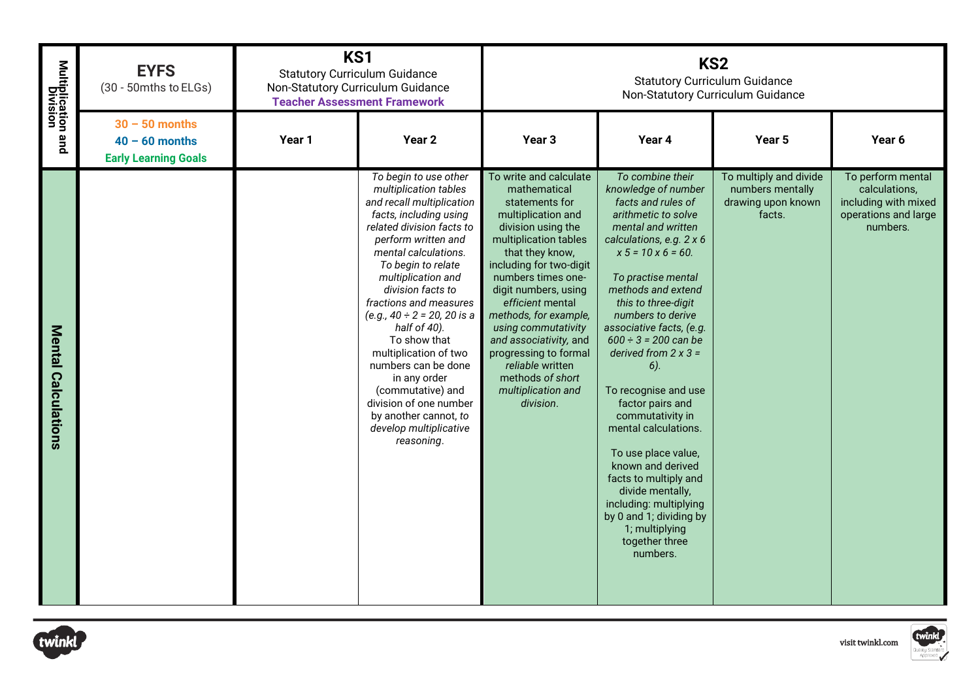| Multiplication and<br>Division | <b>EYFS</b><br>(30 - 50mths to ELGs)                                |        | KS1<br><b>Statutory Curriculum Guidance</b><br>Non-Statutory Curriculum Guidance<br><b>Teacher Assessment Framework</b>                                                                                                                                                                                                                                                                                                                                                                                                           |                                                                                                                                                                                                                                                                                                                                                                                                                             | KS <sub>2</sub><br><b>Statutory Curriculum Guidance</b><br>Non-Statutory Curriculum Guidance                                                                                                                                                                                                                                                                                                                                                                                                                                                                                                                                                  |                                                                            |                                                                                                |  |
|--------------------------------|---------------------------------------------------------------------|--------|-----------------------------------------------------------------------------------------------------------------------------------------------------------------------------------------------------------------------------------------------------------------------------------------------------------------------------------------------------------------------------------------------------------------------------------------------------------------------------------------------------------------------------------|-----------------------------------------------------------------------------------------------------------------------------------------------------------------------------------------------------------------------------------------------------------------------------------------------------------------------------------------------------------------------------------------------------------------------------|-----------------------------------------------------------------------------------------------------------------------------------------------------------------------------------------------------------------------------------------------------------------------------------------------------------------------------------------------------------------------------------------------------------------------------------------------------------------------------------------------------------------------------------------------------------------------------------------------------------------------------------------------|----------------------------------------------------------------------------|------------------------------------------------------------------------------------------------|--|
|                                | $30 - 50$ months<br>$40 - 60$ months<br><b>Early Learning Goals</b> | Year 1 | Year <sub>2</sub>                                                                                                                                                                                                                                                                                                                                                                                                                                                                                                                 | Year 3                                                                                                                                                                                                                                                                                                                                                                                                                      | Year 4                                                                                                                                                                                                                                                                                                                                                                                                                                                                                                                                                                                                                                        | Year 5                                                                     | Year 6                                                                                         |  |
| <b>Mental Calculations</b>     |                                                                     |        | To begin to use other<br>multiplication tables<br>and recall multiplication<br>facts, including using<br>related division facts to<br>perform written and<br>mental calculations.<br>To begin to relate<br>multiplication and<br>division facts to<br>fractions and measures<br>(e.g., $40 \div 2 = 20$ , 20 is a<br>half of 40).<br>To show that<br>multiplication of two<br>numbers can be done<br>in any order<br>(commutative) and<br>division of one number<br>by another cannot, to<br>develop multiplicative<br>reasoning. | To write and calculate<br>mathematical<br>statements for<br>multiplication and<br>division using the<br>multiplication tables<br>that they know,<br>including for two-digit<br>numbers times one-<br>digit numbers, using<br>efficient mental<br>methods, for example,<br>using commutativity<br>and associativity, and<br>progressing to formal<br>reliable written<br>methods of short<br>multiplication and<br>division. | To combine their<br>knowledge of number<br>facts and rules of<br>arithmetic to solve<br>mental and written<br>calculations, e.g. 2 x 6<br>$x 5 = 10x 6 = 60.$<br>To practise mental<br>methods and extend<br>this to three-digit<br>numbers to derive<br>associative facts, (e.g.<br>$600 \div 3 = 200$ can be<br>derived from $2 \times 3 =$<br>$6$ ).<br>To recognise and use<br>factor pairs and<br>commutativity in<br>mental calculations.<br>To use place value,<br>known and derived<br>facts to multiply and<br>divide mentally,<br>including: multiplying<br>by 0 and 1; dividing by<br>1; multiplying<br>together three<br>numbers. | To multiply and divide<br>numbers mentally<br>drawing upon known<br>facts. | To perform mental<br>calculations.<br>including with mixed<br>operations and large<br>numbers. |  |
| twinkl                         |                                                                     |        |                                                                                                                                                                                                                                                                                                                                                                                                                                                                                                                                   |                                                                                                                                                                                                                                                                                                                                                                                                                             |                                                                                                                                                                                                                                                                                                                                                                                                                                                                                                                                                                                                                                               |                                                                            | twinkl<br>visit twinkl.com                                                                     |  |

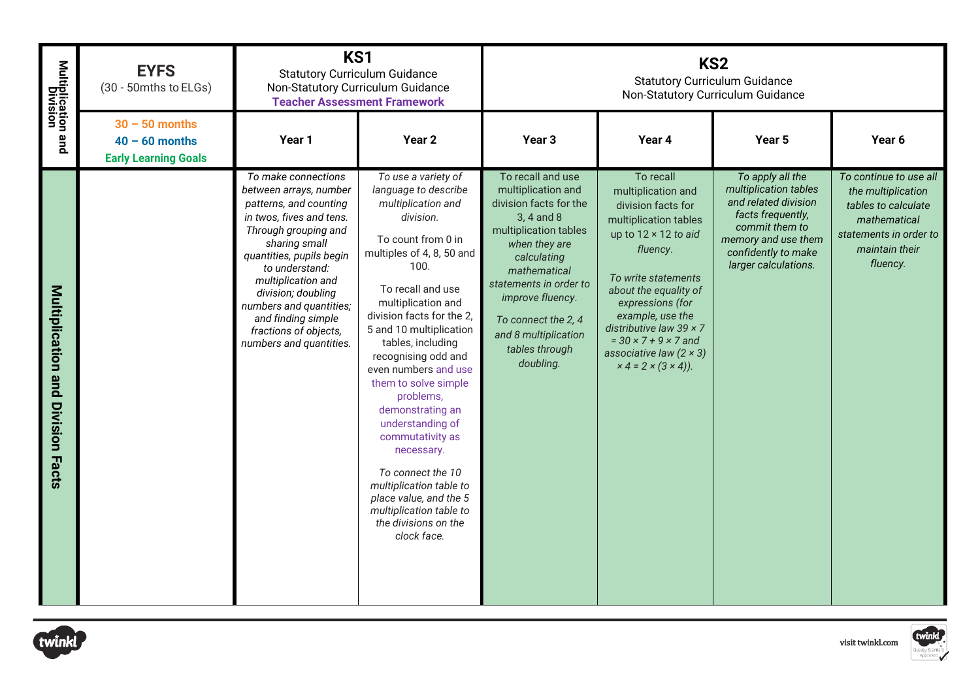| Multiplication and<br>Division       | <b>EYFS</b><br>(30 - 50mths to ELGs)                                | KS1<br><b>Statutory Curriculum Guidance</b><br>Non-Statutory Curriculum Guidance                                                                                                                                                                                                                                                            | <b>Teacher Assessment Framework</b>                                                                                                                                                                                                                                                                                                                                                                                                                                                                                                                                         |                                                                                                                                                                                                                                                                                      | KS <sub>2</sub><br><b>Statutory Curriculum Guidance</b><br>Non-Statutory Curriculum Guidance                                                                                                                                                                                                                                                                 |                                                                                                                                                                                |                                                                                                                                             |  |  |
|--------------------------------------|---------------------------------------------------------------------|---------------------------------------------------------------------------------------------------------------------------------------------------------------------------------------------------------------------------------------------------------------------------------------------------------------------------------------------|-----------------------------------------------------------------------------------------------------------------------------------------------------------------------------------------------------------------------------------------------------------------------------------------------------------------------------------------------------------------------------------------------------------------------------------------------------------------------------------------------------------------------------------------------------------------------------|--------------------------------------------------------------------------------------------------------------------------------------------------------------------------------------------------------------------------------------------------------------------------------------|--------------------------------------------------------------------------------------------------------------------------------------------------------------------------------------------------------------------------------------------------------------------------------------------------------------------------------------------------------------|--------------------------------------------------------------------------------------------------------------------------------------------------------------------------------|---------------------------------------------------------------------------------------------------------------------------------------------|--|--|
|                                      | $30 - 50$ months<br>$40 - 60$ months<br><b>Early Learning Goals</b> | Year 1                                                                                                                                                                                                                                                                                                                                      | Year 2                                                                                                                                                                                                                                                                                                                                                                                                                                                                                                                                                                      | Year <sub>3</sub>                                                                                                                                                                                                                                                                    | Year 4                                                                                                                                                                                                                                                                                                                                                       | Year <sub>5</sub>                                                                                                                                                              | Year 6                                                                                                                                      |  |  |
| Multiplication and<br>Division Facts |                                                                     | To make connections<br>between arrays, number<br>patterns, and counting<br>in twos, fives and tens.<br>Through grouping and<br>sharing small<br>quantities, pupils begin<br>to understand:<br>multiplication and<br>division; doubling<br>numbers and quantities;<br>and finding simple<br>fractions of objects,<br>numbers and quantities. | To use a variety of<br>language to describe<br>multiplication and<br>division.<br>To count from 0 in<br>multiples of 4, 8, 50 and<br>100.<br>To recall and use<br>multiplication and<br>division facts for the 2,<br>5 and 10 multiplication<br>tables, including<br>recognising odd and<br>even numbers and use<br>them to solve simple<br>problems,<br>demonstrating an<br>understanding of<br>commutativity as<br>necessary.<br>To connect the 10<br>multiplication table to<br>place value, and the 5<br>multiplication table to<br>the divisions on the<br>clock face. | To recall and use<br>multiplication and<br>division facts for the<br>3, 4 and 8<br>multiplication tables<br>when they are<br>calculating<br>mathematical<br>statements in order to<br>improve fluency.<br>To connect the 2, 4<br>and 8 multiplication<br>tables through<br>doubling. | To recall<br>multiplication and<br>division facts for<br>multiplication tables<br>up to $12 \times 12$ to aid<br>fluency.<br>To write statements<br>about the equality of<br>expressions (for<br>example, use the<br>distributive law 39 $\times$ 7<br>$= 30 \times 7 + 9 \times 7$ and<br>associative law $(2 \times 3)$<br>$x 4 = 2 \times (3 \times 4)$ . | To apply all the<br>multiplication tables<br>and related division<br>facts frequently,<br>commit them to<br>memory and use them<br>confidently to make<br>larger calculations. | To continue to use all<br>the multiplication<br>tables to calculate<br>mathematical<br>statements in order to<br>maintain their<br>fluency. |  |  |
| twinkl                               |                                                                     |                                                                                                                                                                                                                                                                                                                                             |                                                                                                                                                                                                                                                                                                                                                                                                                                                                                                                                                                             |                                                                                                                                                                                                                                                                                      |                                                                                                                                                                                                                                                                                                                                                              |                                                                                                                                                                                | twinkl<br>visit twinkl.com                                                                                                                  |  |  |



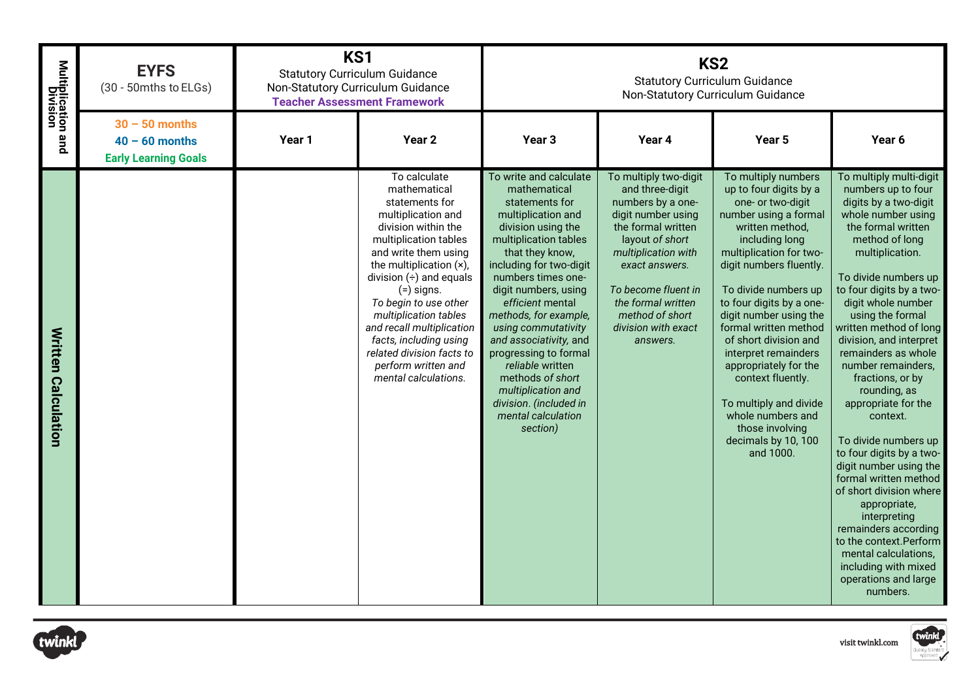| Multiplication and<br>Division | <b>EYFS</b><br>(30 - 50mths to ELGs)                                | KS1    | <b>Statutory Curriculum Guidance</b><br>Non-Statutory Curriculum Guidance<br><b>Teacher Assessment Framework</b>                                                                                                                                                                                                                                                                                             | KS <sub>2</sub><br><b>Statutory Curriculum Guidance</b><br>Non-Statutory Curriculum Guidance                                                                                                                                                                                                                                                                                                                                                                               |                                                                                                                                                                                                                                                                          |                                                                                                                                                                                                                                                                                                                                                                                                                                                                                                    |                                                                                                                                                                                                                                                                                                                                                                                                                                                                                                                                                                                                                                                                                                                                         |
|--------------------------------|---------------------------------------------------------------------|--------|--------------------------------------------------------------------------------------------------------------------------------------------------------------------------------------------------------------------------------------------------------------------------------------------------------------------------------------------------------------------------------------------------------------|----------------------------------------------------------------------------------------------------------------------------------------------------------------------------------------------------------------------------------------------------------------------------------------------------------------------------------------------------------------------------------------------------------------------------------------------------------------------------|--------------------------------------------------------------------------------------------------------------------------------------------------------------------------------------------------------------------------------------------------------------------------|----------------------------------------------------------------------------------------------------------------------------------------------------------------------------------------------------------------------------------------------------------------------------------------------------------------------------------------------------------------------------------------------------------------------------------------------------------------------------------------------------|-----------------------------------------------------------------------------------------------------------------------------------------------------------------------------------------------------------------------------------------------------------------------------------------------------------------------------------------------------------------------------------------------------------------------------------------------------------------------------------------------------------------------------------------------------------------------------------------------------------------------------------------------------------------------------------------------------------------------------------------|
|                                | $30 - 50$ months<br>$40 - 60$ months<br><b>Early Learning Goals</b> | Year 1 | Year <sub>2</sub>                                                                                                                                                                                                                                                                                                                                                                                            | Year <sub>3</sub>                                                                                                                                                                                                                                                                                                                                                                                                                                                          | Year 4                                                                                                                                                                                                                                                                   | Year 5                                                                                                                                                                                                                                                                                                                                                                                                                                                                                             | Year 6                                                                                                                                                                                                                                                                                                                                                                                                                                                                                                                                                                                                                                                                                                                                  |
| <b>Written Calculation</b>     |                                                                     |        | To calculate<br>mathematical<br>statements for<br>multiplication and<br>division within the<br>multiplication tables<br>and write them using<br>the multiplication (x),<br>division $(\div)$ and equals<br>$(=)$ signs.<br>To begin to use other<br>multiplication tables<br>and recall multiplication<br>facts, including using<br>related division facts to<br>perform written and<br>mental calculations. | To write and calculate<br>mathematical<br>statements for<br>multiplication and<br>division using the<br>multiplication tables<br>that they know,<br>including for two-digit<br>numbers times one-<br>digit numbers, using<br>efficient mental<br>methods, for example,<br>using commutativity<br>and associativity, and<br>progressing to formal<br>reliable written<br>methods of short<br>multiplication and<br>division. (included in<br>mental calculation<br>section) | To multiply two-digit<br>and three-digit<br>numbers by a one-<br>digit number using<br>the formal written<br>layout of short<br>multiplication with<br>exact answers.<br>To become fluent in<br>the formal written<br>method of short<br>division with exact<br>answers. | To multiply numbers<br>up to four digits by a<br>one- or two-digit<br>number using a formal<br>written method,<br>including long<br>multiplication for two-<br>digit numbers fluently.<br>To divide numbers up<br>to four digits by a one-<br>digit number using the<br>formal written method<br>of short division and<br>interpret remainders<br>appropriately for the<br>context fluently.<br>To multiply and divide<br>whole numbers and<br>those involving<br>decimals by 10, 100<br>and 1000. | To multiply multi-digit<br>numbers up to four<br>digits by a two-digit<br>whole number using<br>the formal written<br>method of long<br>multiplication.<br>To divide numbers up<br>to four digits by a two-<br>digit whole number<br>using the formal<br>written method of long<br>division, and interpret<br>remainders as whole<br>number remainders,<br>fractions, or by<br>rounding, as<br>appropriate for the<br>context.<br>To divide numbers up<br>to four digits by a two-<br>digit number using the<br>formal written method<br>of short division where<br>appropriate,<br>interpreting<br>remainders according<br>to the context. Perform<br>mental calculations,<br>including with mixed<br>operations and large<br>numbers. |
| twinkl                         |                                                                     |        |                                                                                                                                                                                                                                                                                                                                                                                                              |                                                                                                                                                                                                                                                                                                                                                                                                                                                                            |                                                                                                                                                                                                                                                                          |                                                                                                                                                                                                                                                                                                                                                                                                                                                                                                    | twinkl<br>visit twinkl.com                                                                                                                                                                                                                                                                                                                                                                                                                                                                                                                                                                                                                                                                                                              |



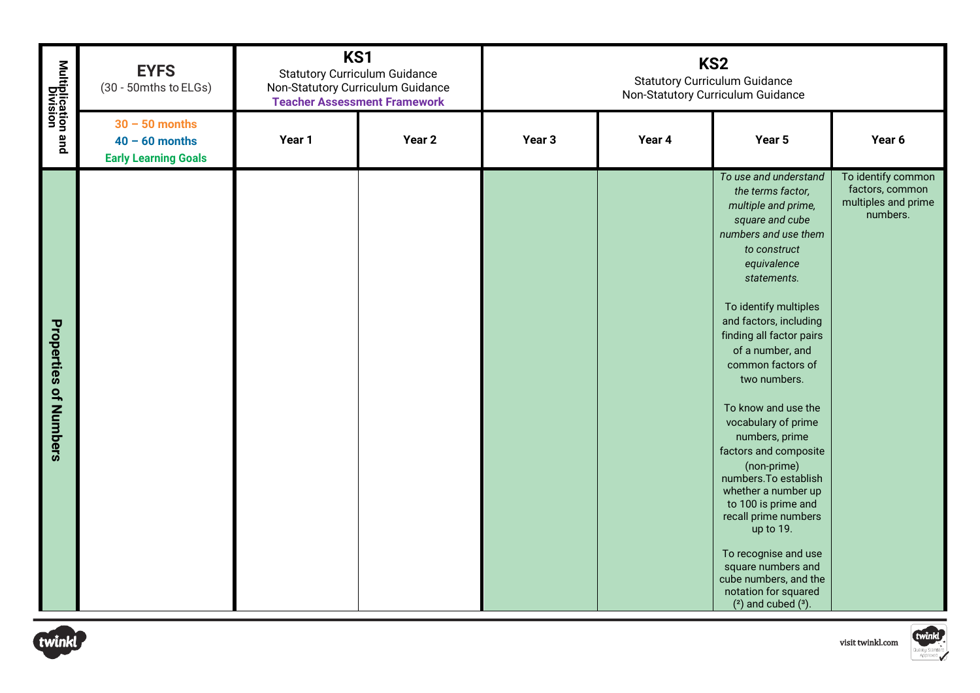| Multiplication and<br>Division | <b>EYFS</b><br>(30 - 50mths to ELGs)                                | KS1<br><b>Statutory Curriculum Guidance</b><br>Non-Statutory Curriculum Guidance<br><b>Teacher Assessment Framework</b> |        | KS <sub>2</sub><br><b>Statutory Curriculum Guidance</b><br>Non-Statutory Curriculum Guidance |        |                                                                                                                                                                                                                                                                                                                                                                                                                                                                                                                                                                                                                                                  |                                                                          |
|--------------------------------|---------------------------------------------------------------------|-------------------------------------------------------------------------------------------------------------------------|--------|----------------------------------------------------------------------------------------------|--------|--------------------------------------------------------------------------------------------------------------------------------------------------------------------------------------------------------------------------------------------------------------------------------------------------------------------------------------------------------------------------------------------------------------------------------------------------------------------------------------------------------------------------------------------------------------------------------------------------------------------------------------------------|--------------------------------------------------------------------------|
|                                | $30 - 50$ months<br>$40 - 60$ months<br><b>Early Learning Goals</b> | Year 1                                                                                                                  | Year 2 | Year <sub>3</sub>                                                                            | Year 4 | Year 5                                                                                                                                                                                                                                                                                                                                                                                                                                                                                                                                                                                                                                           | Year 6                                                                   |
| <b>Properties of Numbers</b>   |                                                                     |                                                                                                                         |        |                                                                                              |        | To use and understand<br>the terms factor,<br>multiple and prime,<br>square and cube<br>numbers and use them<br>to construct<br>equivalence<br>statements.<br>To identify multiples<br>and factors, including<br>finding all factor pairs<br>of a number, and<br>common factors of<br>two numbers.<br>To know and use the<br>vocabulary of prime<br>numbers, prime<br>factors and composite<br>(non-prime)<br>numbers. To establish<br>whether a number up<br>to 100 is prime and<br>recall prime numbers<br>up to 19.<br>To recognise and use<br>square numbers and<br>cube numbers, and the<br>notation for squared<br>$(2)$ and cubed $(3)$ . | To identify common<br>factors, common<br>multiples and prime<br>numbers. |
| twinkl                         |                                                                     |                                                                                                                         |        |                                                                                              |        |                                                                                                                                                                                                                                                                                                                                                                                                                                                                                                                                                                                                                                                  | twinkl<br>visit twinkl.com                                               |



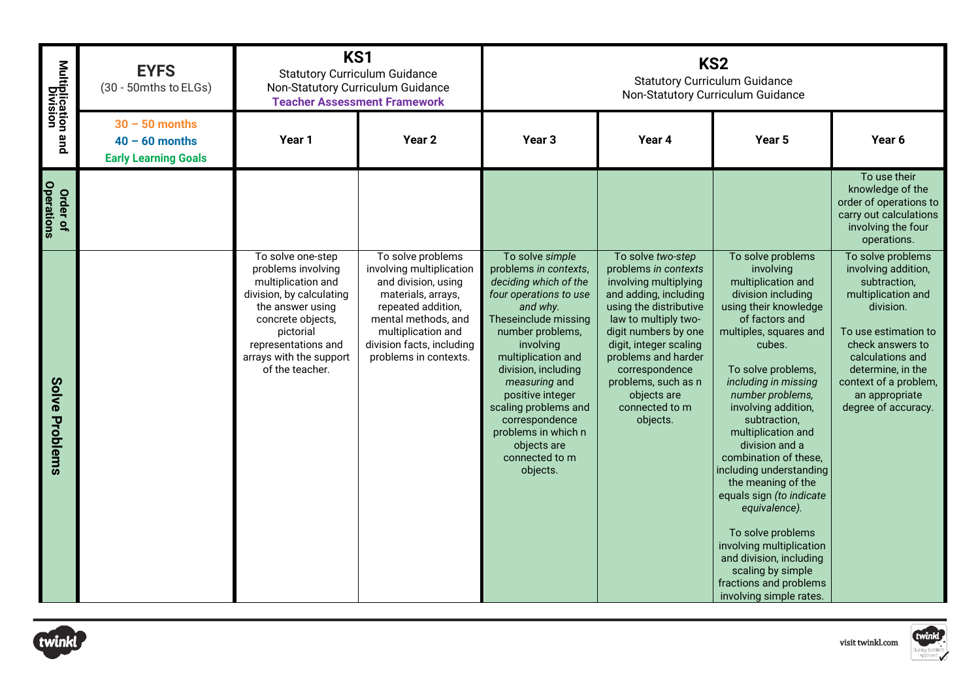| Multiplication and<br>Division | <b>EYFS</b><br>(30 - 50mths to ELGs)                                | KS1<br><b>Statutory Curriculum Guidance</b><br>Non-Statutory Curriculum Guidance<br><b>Teacher Assessment Framework</b>                                                                                              |                                                                                                                                                                                                                     | KS <sub>2</sub><br><b>Statutory Curriculum Guidance</b><br>Non-Statutory Curriculum Guidance                                                                                                                                                                                                                                                                     |                                                                                                                                                                                                                                                                                                              |                                                                                                                                                                                                                                                                                                                                                                                                                                                                                                                                                                                         |                                                                                                                                                                                                                                                    |
|--------------------------------|---------------------------------------------------------------------|----------------------------------------------------------------------------------------------------------------------------------------------------------------------------------------------------------------------|---------------------------------------------------------------------------------------------------------------------------------------------------------------------------------------------------------------------|------------------------------------------------------------------------------------------------------------------------------------------------------------------------------------------------------------------------------------------------------------------------------------------------------------------------------------------------------------------|--------------------------------------------------------------------------------------------------------------------------------------------------------------------------------------------------------------------------------------------------------------------------------------------------------------|-----------------------------------------------------------------------------------------------------------------------------------------------------------------------------------------------------------------------------------------------------------------------------------------------------------------------------------------------------------------------------------------------------------------------------------------------------------------------------------------------------------------------------------------------------------------------------------------|----------------------------------------------------------------------------------------------------------------------------------------------------------------------------------------------------------------------------------------------------|
|                                | $30 - 50$ months<br>$40 - 60$ months<br><b>Early Learning Goals</b> | Year 1                                                                                                                                                                                                               | Year <sub>2</sub>                                                                                                                                                                                                   | Year <sub>3</sub>                                                                                                                                                                                                                                                                                                                                                | Year 4                                                                                                                                                                                                                                                                                                       | Year <sub>5</sub>                                                                                                                                                                                                                                                                                                                                                                                                                                                                                                                                                                       | Year 6                                                                                                                                                                                                                                             |
| <b>Operations</b><br>Order of  |                                                                     |                                                                                                                                                                                                                      |                                                                                                                                                                                                                     |                                                                                                                                                                                                                                                                                                                                                                  |                                                                                                                                                                                                                                                                                                              |                                                                                                                                                                                                                                                                                                                                                                                                                                                                                                                                                                                         | To use their<br>knowledge of the<br>order of operations to<br>carry out calculations<br>involving the four<br>operations.                                                                                                                          |
| <b>Solve</b><br>Problems       |                                                                     | To solve one-step<br>problems involving<br>multiplication and<br>division, by calculating<br>the answer using<br>concrete objects,<br>pictorial<br>representations and<br>arrays with the support<br>of the teacher. | To solve problems<br>involving multiplication<br>and division, using<br>materials, arrays,<br>repeated addition,<br>mental methods, and<br>multiplication and<br>division facts, including<br>problems in contexts. | To solve simple<br>problems in contexts,<br>deciding which of the<br>four operations to use<br>and why.<br>Theseinclude missing<br>number problems,<br>involving<br>multiplication and<br>division, including<br>measuring and<br>positive integer<br>scaling problems and<br>correspondence<br>problems in which n<br>objects are<br>connected to m<br>objects. | To solve two-step<br>problems in contexts<br>involving multiplying<br>and adding, including<br>using the distributive<br>law to multiply two-<br>digit numbers by one<br>digit, integer scaling<br>problems and harder<br>correspondence<br>problems, such as n<br>objects are<br>connected to m<br>objects. | To solve problems<br>involving<br>multiplication and<br>division including<br>using their knowledge<br>of factors and<br>multiples, squares and<br>cubes.<br>To solve problems,<br>including in missing<br>number problems,<br>involving addition,<br>subtraction,<br>multiplication and<br>division and a<br>combination of these,<br>including understanding<br>the meaning of the<br>equals sign (to indicate<br>equivalence).<br>To solve problems<br>involving multiplication<br>and division, including<br>scaling by simple<br>fractions and problems<br>involving simple rates. | To solve problems<br>involving addition,<br>subtraction,<br>multiplication and<br>division.<br>To use estimation to<br>check answers to<br>calculations and<br>determine, in the<br>context of a problem,<br>an appropriate<br>degree of accuracy. |
| twinkl                         |                                                                     |                                                                                                                                                                                                                      |                                                                                                                                                                                                                     |                                                                                                                                                                                                                                                                                                                                                                  |                                                                                                                                                                                                                                                                                                              |                                                                                                                                                                                                                                                                                                                                                                                                                                                                                                                                                                                         | twinkl<br>visit twinkl.com                                                                                                                                                                                                                         |

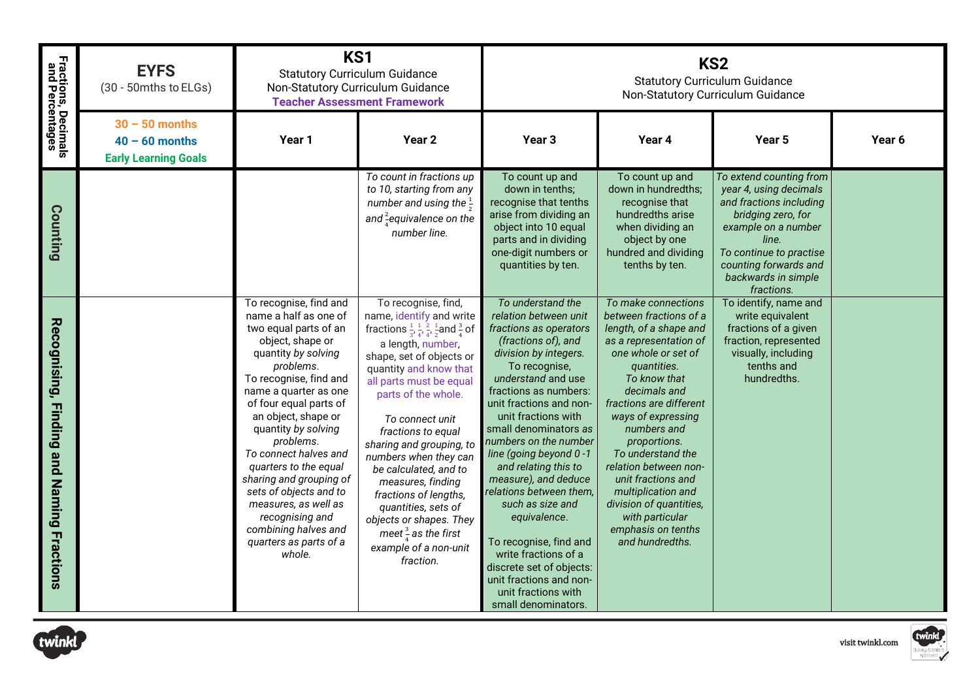| Fractions, Decimals<br>and Percentages                        | <b>EYFS</b><br>(30 - 50mths to ELGs)                                |                                                                                                                                                                                                                                                                                                                                                                                                                                                                                        | KS1<br><b>Statutory Curriculum Guidance</b><br>Non-Statutory Curriculum Guidance<br><b>Teacher Assessment Framework</b>                                                                                                                                                                                                                                                                                                                                                                                                                                                      |                                                                                                                                                                                                                                                                                                                                                                                                                                                                                                                                                                                          | KS <sub>2</sub><br><b>Statutory Curriculum Guidance</b><br>Non-Statutory Curriculum Guidance                                                                                                                                                                                                                                                                                                                                             |                                                                                                                                                                                                                             |        |  |
|---------------------------------------------------------------|---------------------------------------------------------------------|----------------------------------------------------------------------------------------------------------------------------------------------------------------------------------------------------------------------------------------------------------------------------------------------------------------------------------------------------------------------------------------------------------------------------------------------------------------------------------------|------------------------------------------------------------------------------------------------------------------------------------------------------------------------------------------------------------------------------------------------------------------------------------------------------------------------------------------------------------------------------------------------------------------------------------------------------------------------------------------------------------------------------------------------------------------------------|------------------------------------------------------------------------------------------------------------------------------------------------------------------------------------------------------------------------------------------------------------------------------------------------------------------------------------------------------------------------------------------------------------------------------------------------------------------------------------------------------------------------------------------------------------------------------------------|------------------------------------------------------------------------------------------------------------------------------------------------------------------------------------------------------------------------------------------------------------------------------------------------------------------------------------------------------------------------------------------------------------------------------------------|-----------------------------------------------------------------------------------------------------------------------------------------------------------------------------------------------------------------------------|--------|--|
|                                                               | $30 - 50$ months<br>$40 - 60$ months<br><b>Early Learning Goals</b> | Year 1                                                                                                                                                                                                                                                                                                                                                                                                                                                                                 | Year <sub>2</sub>                                                                                                                                                                                                                                                                                                                                                                                                                                                                                                                                                            | Year <sub>3</sub>                                                                                                                                                                                                                                                                                                                                                                                                                                                                                                                                                                        | Year 4                                                                                                                                                                                                                                                                                                                                                                                                                                   | Year 5                                                                                                                                                                                                                      | Year 6 |  |
| Counting                                                      |                                                                     |                                                                                                                                                                                                                                                                                                                                                                                                                                                                                        | To count in fractions up<br>to 10, starting from any<br>number and using the $\frac{1}{2}$<br>and $\frac{2}{4}$ equivalence on the<br>number line.                                                                                                                                                                                                                                                                                                                                                                                                                           | To count up and<br>down in tenths:<br>recognise that tenths<br>arise from dividing an<br>object into 10 equal<br>parts and in dividing<br>one-digit numbers or<br>quantities by ten.                                                                                                                                                                                                                                                                                                                                                                                                     | To count up and<br>down in hundredths;<br>recognise that<br>hundredths arise<br>when dividing an<br>object by one<br>hundred and dividing<br>tenths by ten.                                                                                                                                                                                                                                                                              | To extend counting from<br>year 4, using decimals<br>and fractions including<br>bridging zero, for<br>example on a number<br>line.<br>To continue to practise<br>counting forwards and<br>backwards in simple<br>fractions. |        |  |
| Recognising, Finding and<br><b>Naming</b><br><b>Fractions</b> |                                                                     | To recognise, find and<br>name a half as one of<br>two equal parts of an<br>object, shape or<br>quantity by solving<br>problems.<br>To recognise, find and<br>name a quarter as one<br>of four equal parts of<br>an object, shape or<br>quantity by solving<br>problems.<br>To connect halves and<br>quarters to the equal<br>sharing and grouping of<br>sets of objects and to<br>measures, as well as<br>recognising and<br>combining halves and<br>quarters as parts of a<br>whole. | To recognise, find,<br>name, identify and write<br>fractions $\frac{1}{3}$ , $\frac{1}{4}$ , $\frac{2}{4}$ , $\frac{1}{2}$ and $\frac{3}{4}$ of<br>a length, number,<br>shape, set of objects or<br>quantity and know that<br>all parts must be equal<br>parts of the whole.<br>To connect unit<br>fractions to equal<br>sharing and grouping, to<br>numbers when they can<br>be calculated, and to<br>measures, finding<br>fractions of lengths,<br>quantities, sets of<br>objects or shapes. They<br>meet $\frac{3}{4}$ as the first<br>example of a non-unit<br>fraction. | To understand the<br>relation between unit<br>fractions as operators<br>(fractions of), and<br>division by integers.<br>To recognise,<br>understand and use<br>fractions as numbers:<br>unit fractions and non-<br>unit fractions with<br>small denominators as<br>numbers on the number<br>line (going beyond 0-1<br>and relating this to<br>measure), and deduce<br>relations between them,<br>such as size and<br>equivalence.<br>To recognise, find and<br>write fractions of a<br>discrete set of objects:<br>unit fractions and non-<br>unit fractions with<br>small denominators. | To make connections<br>between fractions of a<br>length, of a shape and<br>as a representation of<br>one whole or set of<br>quantities.<br>To know that<br>decimals and<br>fractions are different<br>ways of expressing<br>numbers and<br>proportions.<br>To understand the<br>relation between non-<br>unit fractions and<br>multiplication and<br>division of quantities,<br>with particular<br>emphasis on tenths<br>and hundredths. | To identify, name and<br>write equivalent<br>fractions of a given<br>fraction, represented<br>visually, including<br>tenths and<br>hundredths.                                                                              |        |  |



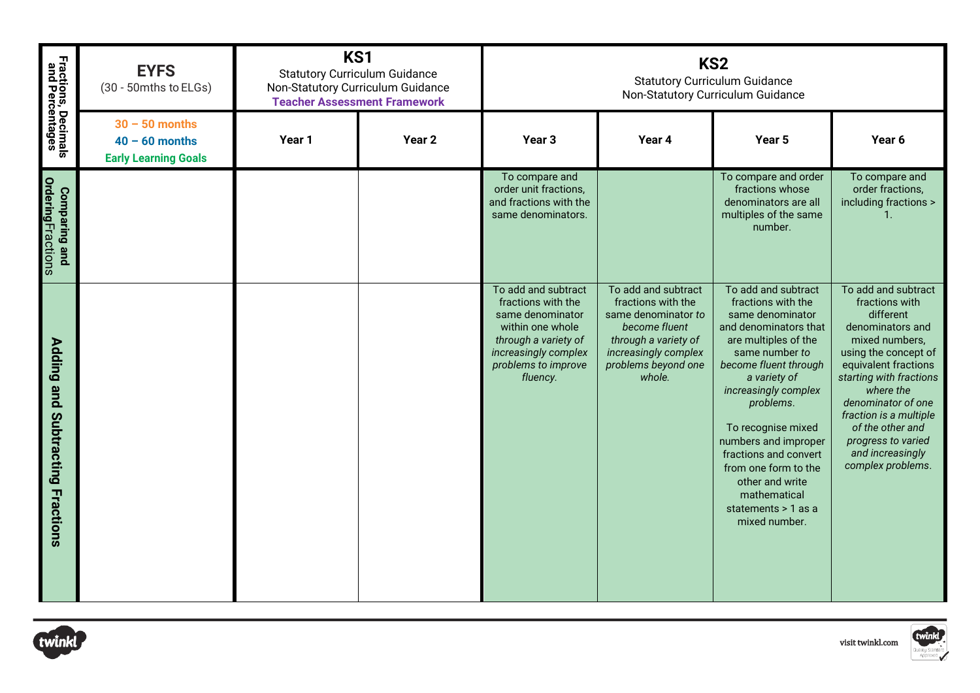| Fractions, Decimals<br>and Percentages           | <b>EYFS</b><br>(30 - 50mths to ELGs)                                | KS1<br><b>Statutory Curriculum Guidance</b><br>Non-Statutory Curriculum Guidance<br><b>Teacher Assessment Framework</b> |                   | KS <sub>2</sub><br><b>Statutory Curriculum Guidance</b><br>Non-Statutory Curriculum Guidance                                                                         |                                                                                                                                                                    |                                                                                                                                                                                                                                                                                                                                                                                          |                                                                                                                                                                                                                                                                                                                     |  |
|--------------------------------------------------|---------------------------------------------------------------------|-------------------------------------------------------------------------------------------------------------------------|-------------------|----------------------------------------------------------------------------------------------------------------------------------------------------------------------|--------------------------------------------------------------------------------------------------------------------------------------------------------------------|------------------------------------------------------------------------------------------------------------------------------------------------------------------------------------------------------------------------------------------------------------------------------------------------------------------------------------------------------------------------------------------|---------------------------------------------------------------------------------------------------------------------------------------------------------------------------------------------------------------------------------------------------------------------------------------------------------------------|--|
|                                                  | $30 - 50$ months<br>$40 - 60$ months<br><b>Early Learning Goals</b> | Year 1                                                                                                                  | Year <sub>2</sub> | Year <sub>3</sub>                                                                                                                                                    | Year 4                                                                                                                                                             | Year <sub>5</sub>                                                                                                                                                                                                                                                                                                                                                                        | Year 6                                                                                                                                                                                                                                                                                                              |  |
| <b>OrderingFractions</b><br><b>Comparing and</b> |                                                                     |                                                                                                                         |                   | To compare and<br>order unit fractions,<br>and fractions with the<br>same denominators.                                                                              |                                                                                                                                                                    | To compare and order<br>fractions whose<br>denominators are all<br>multiples of the same<br>number.                                                                                                                                                                                                                                                                                      | To compare and<br>order fractions,<br>including fractions ><br>$\mathbf{1}$ .                                                                                                                                                                                                                                       |  |
| Adding and<br>Subtracting<br><b>Fractions</b>    |                                                                     |                                                                                                                         |                   | To add and subtract<br>fractions with the<br>same denominator<br>within one whole<br>through a variety of<br>increasingly complex<br>problems to improve<br>fluency. | To add and subtract<br>fractions with the<br>same denominator to<br>become fluent<br>through a variety of<br>increasingly complex<br>problems beyond one<br>whole. | To add and subtract<br>fractions with the<br>same denominator<br>and denominators that<br>are multiples of the<br>same number to<br>become fluent through<br>a variety of<br>increasingly complex<br>problems.<br>To recognise mixed<br>numbers and improper<br>fractions and convert<br>from one form to the<br>other and write<br>mathematical<br>statements > 1 as a<br>mixed number. | To add and subtract<br>fractions with<br>different<br>denominators and<br>mixed numbers,<br>using the concept of<br>equivalent fractions<br>starting with fractions<br>where the<br>denominator of one<br>fraction is a multiple<br>of the other and<br>progress to varied<br>and increasingly<br>complex problems. |  |



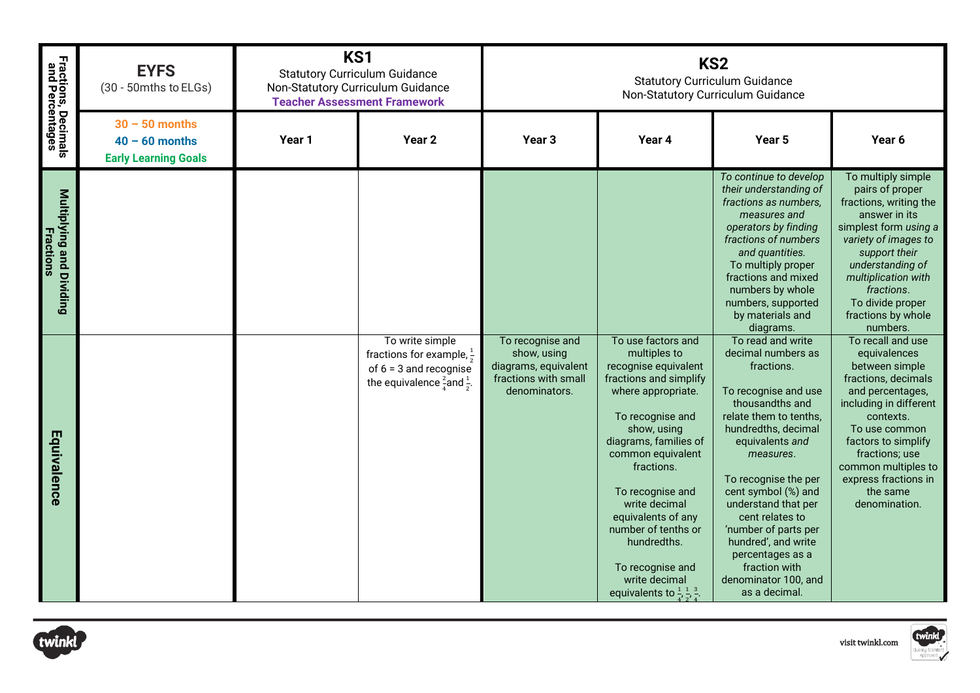| Fractions, Decimals<br>and Percentages       | KS1<br><b>EYFS</b><br><b>Statutory Curriculum Guidance</b><br>(30 - 50mths to ELGs)<br>Non-Statutory Curriculum Guidance<br><b>Teacher Assessment Framework</b> |        | KS <sub>2</sub><br><b>Statutory Curriculum Guidance</b><br>Non-Statutory Curriculum Guidance                                             |                                                                                                  |                                                                                                                                                                                                                                                                                                                                                                                                                   |                                                                                                                                                                                                                                                                                                                                                                                                         |                                                                                                                                                                                                                                                                             |
|----------------------------------------------|-----------------------------------------------------------------------------------------------------------------------------------------------------------------|--------|------------------------------------------------------------------------------------------------------------------------------------------|--------------------------------------------------------------------------------------------------|-------------------------------------------------------------------------------------------------------------------------------------------------------------------------------------------------------------------------------------------------------------------------------------------------------------------------------------------------------------------------------------------------------------------|---------------------------------------------------------------------------------------------------------------------------------------------------------------------------------------------------------------------------------------------------------------------------------------------------------------------------------------------------------------------------------------------------------|-----------------------------------------------------------------------------------------------------------------------------------------------------------------------------------------------------------------------------------------------------------------------------|
|                                              | $30 - 50$ months<br>$40 - 60$ months<br><b>Early Learning Goals</b>                                                                                             | Year 1 | Year 2                                                                                                                                   | Year <sub>3</sub>                                                                                | Year 4                                                                                                                                                                                                                                                                                                                                                                                                            | Year 5                                                                                                                                                                                                                                                                                                                                                                                                  | Year 6                                                                                                                                                                                                                                                                      |
| Multiplying and Dividing<br><b>Fractions</b> |                                                                                                                                                                 |        |                                                                                                                                          |                                                                                                  |                                                                                                                                                                                                                                                                                                                                                                                                                   | To continue to develop<br>their understanding of<br>fractions as numbers,<br>measures and<br>operators by finding<br>fractions of numbers<br>and quantities.<br>To multiply proper<br>fractions and mixed<br>numbers by whole<br>numbers, supported<br>by materials and<br>diagrams.                                                                                                                    | To multiply simple<br>pairs of proper<br>fractions, writing the<br>answer in its<br>simplest form using a<br>variety of images to<br>support their<br>understanding of<br>multiplication with<br>fractions.<br>To divide proper<br>fractions by whole<br>numbers.           |
| Equivalence                                  |                                                                                                                                                                 |        | To write simple<br>fractions for example, $\frac{1}{2}$<br>of $6 = 3$ and recognise<br>the equivalence $\frac{2}{3}$ and $\frac{1}{3}$ . | To recognise and<br>show, using<br>diagrams, equivalent<br>fractions with small<br>denominators. | To use factors and<br>multiples to<br>recognise equivalent<br>fractions and simplify<br>where appropriate.<br>To recognise and<br>show, using<br>diagrams, families of<br>common equivalent<br>fractions.<br>To recognise and<br>write decimal<br>equivalents of any<br>number of tenths or<br>hundredths.<br>To recognise and<br>write decimal<br>equivalents to $\frac{1}{4}$ , $\frac{1}{8}$ , $\frac{3}{4}$ . | To read and write<br>decimal numbers as<br>fractions.<br>To recognise and use<br>thousandths and<br>relate them to tenths,<br>hundredths, decimal<br>equivalents and<br>measures.<br>To recognise the per<br>cent symbol (%) and<br>understand that per<br>cent relates to<br>'number of parts per<br>hundred', and write<br>percentages as a<br>fraction with<br>denominator 100, and<br>as a decimal. | To recall and use<br>equivalences<br>between simple<br>fractions, decimals<br>and percentages,<br>including in different<br>contexts.<br>To use common<br>factors to simplify<br>fractions; use<br>common multiples to<br>express fractions in<br>the same<br>denomination. |

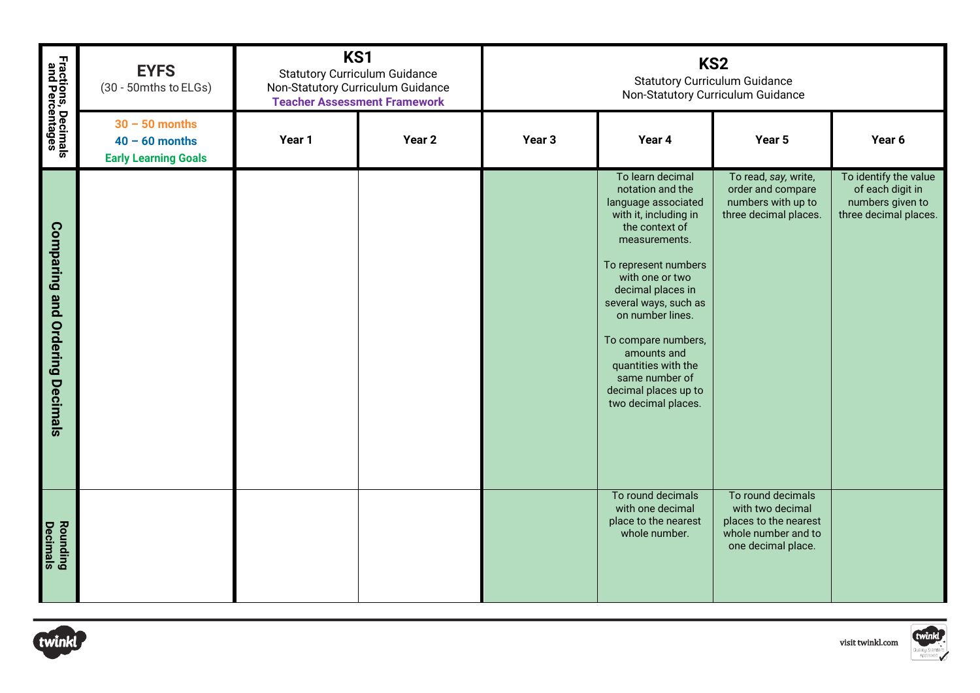| <b>Fractions, Decimals</b><br>and Percentages    | KS1<br>KS <sub>2</sub><br><b>EYFS</b><br><b>Statutory Curriculum Guidance</b><br><b>Statutory Curriculum Guidance</b><br>(30 - 50mths to ELGs)<br>Non-Statutory Curriculum Guidance<br>Non-Statutory Curriculum Guidance<br><b>Teacher Assessment Framework</b> |        |                   |                   |                                                                                                                                                                                                                                                                                                                                                                    |                                                                                                             |                                                                                        |
|--------------------------------------------------|-----------------------------------------------------------------------------------------------------------------------------------------------------------------------------------------------------------------------------------------------------------------|--------|-------------------|-------------------|--------------------------------------------------------------------------------------------------------------------------------------------------------------------------------------------------------------------------------------------------------------------------------------------------------------------------------------------------------------------|-------------------------------------------------------------------------------------------------------------|----------------------------------------------------------------------------------------|
|                                                  | $30 - 50$ months<br>$40 - 60$ months<br><b>Early Learning Goals</b>                                                                                                                                                                                             | Year 1 | Year <sub>2</sub> | Year <sub>3</sub> | Year 4                                                                                                                                                                                                                                                                                                                                                             | Year 5                                                                                                      | Year 6                                                                                 |
| <b>Comparing and</b><br><b>Ordering Decimals</b> |                                                                                                                                                                                                                                                                 |        |                   |                   | To learn decimal<br>notation and the<br>language associated<br>with it, including in<br>the context of<br>measurements.<br>To represent numbers<br>with one or two<br>decimal places in<br>several ways, such as<br>on number lines.<br>To compare numbers,<br>amounts and<br>quantities with the<br>same number of<br>decimal places up to<br>two decimal places. | To read, say, write,<br>order and compare<br>numbers with up to<br>three decimal places.                    | To identify the value<br>of each digit in<br>numbers given to<br>three decimal places. |
| <b>Rounding</b><br>Decimals                      |                                                                                                                                                                                                                                                                 |        |                   |                   | To round decimals<br>with one decimal<br>place to the nearest<br>whole number.                                                                                                                                                                                                                                                                                     | To round decimals<br>with two decimal<br>places to the nearest<br>whole number and to<br>one decimal place. |                                                                                        |
| twinkl                                           |                                                                                                                                                                                                                                                                 |        |                   |                   |                                                                                                                                                                                                                                                                                                                                                                    |                                                                                                             | twinkl<br>visit twinkl.com                                                             |



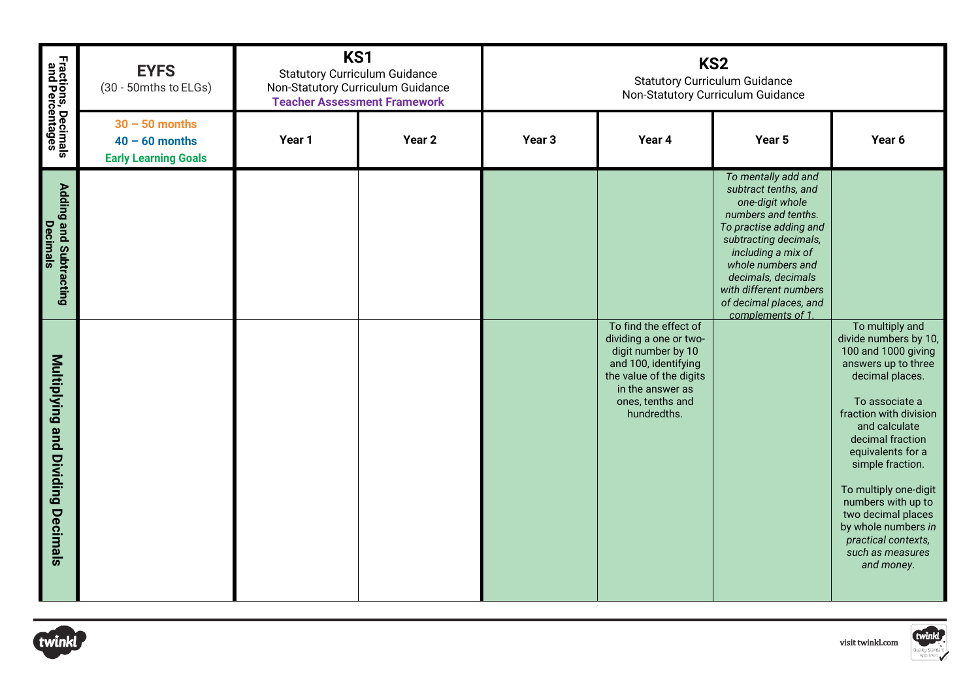| Fractions, Decimals<br>and Percentages      | <b>EYFS</b><br>(30 - 50mths to ELGs)                                | KS1<br><b>Statutory Curriculum Guidance</b><br>Non-Statutory Curriculum Guidance<br><b>Teacher Assessment Framework</b> |                   | KS <sub>2</sub><br><b>Statutory Curriculum Guidance</b><br>Non-Statutory Curriculum Guidance |                                                                                                                                                                                 |                                                                                                                                                                                                                                                                                    |                                                                                                                                                                                                                                                                                                                                                                                          |  |
|---------------------------------------------|---------------------------------------------------------------------|-------------------------------------------------------------------------------------------------------------------------|-------------------|----------------------------------------------------------------------------------------------|---------------------------------------------------------------------------------------------------------------------------------------------------------------------------------|------------------------------------------------------------------------------------------------------------------------------------------------------------------------------------------------------------------------------------------------------------------------------------|------------------------------------------------------------------------------------------------------------------------------------------------------------------------------------------------------------------------------------------------------------------------------------------------------------------------------------------------------------------------------------------|--|
|                                             | $30 - 50$ months<br>$40 - 60$ months<br><b>Early Learning Goals</b> | Year 1                                                                                                                  | Year <sub>2</sub> | Year <sub>3</sub>                                                                            | Year 4                                                                                                                                                                          | Year 5                                                                                                                                                                                                                                                                             | Year 6                                                                                                                                                                                                                                                                                                                                                                                   |  |
| <b>Adding and Subtracting</b><br>Decimals   |                                                                     |                                                                                                                         |                   |                                                                                              |                                                                                                                                                                                 | To mentally add and<br>subtract tenths, and<br>one-digit whole<br>numbers and tenths.<br>To practise adding and<br>subtracting decimals,<br>including a mix of<br>whole numbers and<br>decimals, decimals<br>with different numbers<br>of decimal places, and<br>complements of 1. |                                                                                                                                                                                                                                                                                                                                                                                          |  |
| Multiplying and<br><b>Dividing Decimals</b> |                                                                     |                                                                                                                         |                   |                                                                                              | To find the effect of<br>dividing a one or two-<br>digit number by 10<br>and 100, identifying<br>the value of the digits<br>in the answer as<br>ones, tenths and<br>hundredths. |                                                                                                                                                                                                                                                                                    | To multiply and<br>divide numbers by 10,<br>100 and 1000 giving<br>answers up to three<br>decimal places.<br>To associate a<br>fraction with division<br>and calculate<br>decimal fraction<br>equivalents for a<br>simple fraction.<br>To multiply one-digit<br>numbers with up to<br>two decimal places<br>by whole numbers in<br>practical contexts,<br>such as measures<br>and money. |  |
| twinkl                                      |                                                                     |                                                                                                                         |                   |                                                                                              |                                                                                                                                                                                 |                                                                                                                                                                                                                                                                                    | twinkl<br>visit twinkl.com                                                                                                                                                                                                                                                                                                                                                               |  |



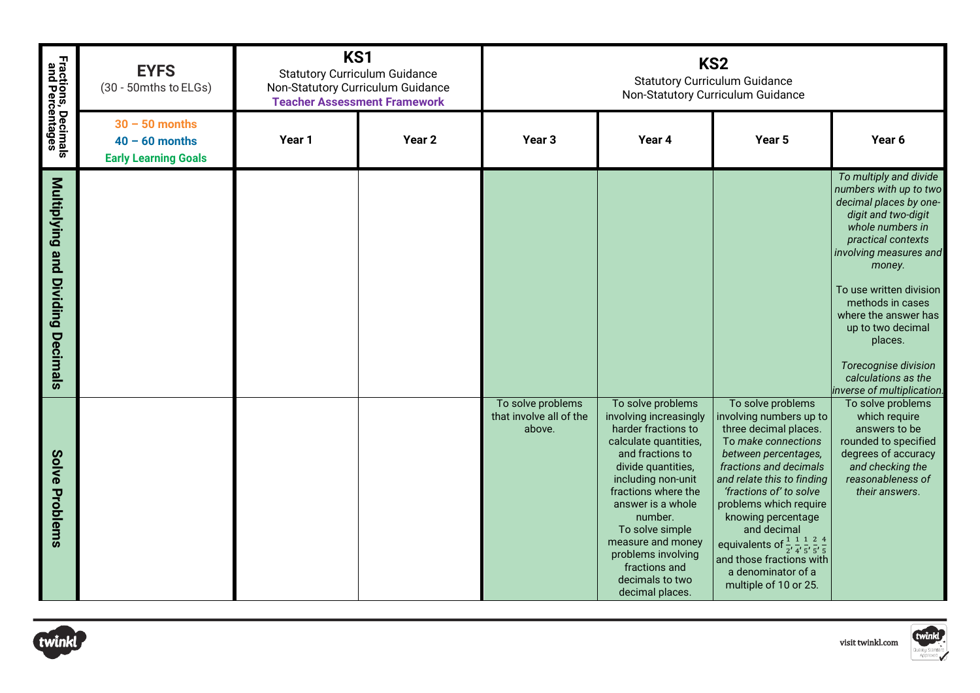|                                        | <b>EYFS</b><br>(30 - 50mths to ELGs)                                | KS1<br><b>Statutory Curriculum Guidance</b><br>Non-Statutory Curriculum Guidance<br><b>Teacher Assessment Framework</b> |                   | KS <sub>2</sub><br><b>Statutory Curriculum Guidance</b><br>Non-Statutory Curriculum Guidance |                                                                                                                                                                                                                                                                                                                                         |                                                                                                                                                                                                                                                                                                                                                                                                                                                   |                                                                                                                                                                                                                                                                                                                                                                     |  |
|----------------------------------------|---------------------------------------------------------------------|-------------------------------------------------------------------------------------------------------------------------|-------------------|----------------------------------------------------------------------------------------------|-----------------------------------------------------------------------------------------------------------------------------------------------------------------------------------------------------------------------------------------------------------------------------------------------------------------------------------------|---------------------------------------------------------------------------------------------------------------------------------------------------------------------------------------------------------------------------------------------------------------------------------------------------------------------------------------------------------------------------------------------------------------------------------------------------|---------------------------------------------------------------------------------------------------------------------------------------------------------------------------------------------------------------------------------------------------------------------------------------------------------------------------------------------------------------------|--|
| Fractions, Decimals<br>and Percentages | $30 - 50$ months<br>$40 - 60$ months<br><b>Early Learning Goals</b> | Year 1                                                                                                                  | Year <sub>2</sub> | Year <sub>3</sub>                                                                            | Year 4                                                                                                                                                                                                                                                                                                                                  | Year 5                                                                                                                                                                                                                                                                                                                                                                                                                                            | Year 6                                                                                                                                                                                                                                                                                                                                                              |  |
| Multiplying and Dividing<br>Decimals   |                                                                     |                                                                                                                         |                   |                                                                                              |                                                                                                                                                                                                                                                                                                                                         |                                                                                                                                                                                                                                                                                                                                                                                                                                                   | To multiply and divide<br>numbers with up to two<br>decimal places by one-<br>digit and two-digit<br>whole numbers in<br>practical contexts<br>involving measures and<br>money.<br>To use written division<br>methods in cases<br>where the answer has<br>up to two decimal<br>places.<br>Torecognise division<br>calculations as the<br>inverse of multiplication. |  |
| Solve Problems                         |                                                                     |                                                                                                                         |                   | To solve problems<br>that involve all of the<br>above.                                       | To solve problems<br>involving increasingly<br>harder fractions to<br>calculate quantities,<br>and fractions to<br>divide quantities,<br>including non-unit<br>fractions where the<br>answer is a whole<br>number.<br>To solve simple<br>measure and money<br>problems involving<br>fractions and<br>decimals to two<br>decimal places. | To solve problems<br>involving numbers up to<br>three decimal places.<br>To make connections<br>between percentages,<br>fractions and decimals<br>and relate this to finding<br>'fractions of' to solve<br>problems which require<br>knowing percentage<br>and decimal<br>equivalents of $\frac{1}{2}$ , $\frac{1}{4}$ , $\frac{1}{5}$ , $\frac{2}{5}$ , $\frac{4}{5}$<br>and those fractions with<br>a denominator of a<br>multiple of 10 or 25. | To solve problems<br>which require<br>answers to be<br>rounded to specified<br>degrees of accuracy<br>and checking the<br>reasonableness of<br>their answers.                                                                                                                                                                                                       |  |



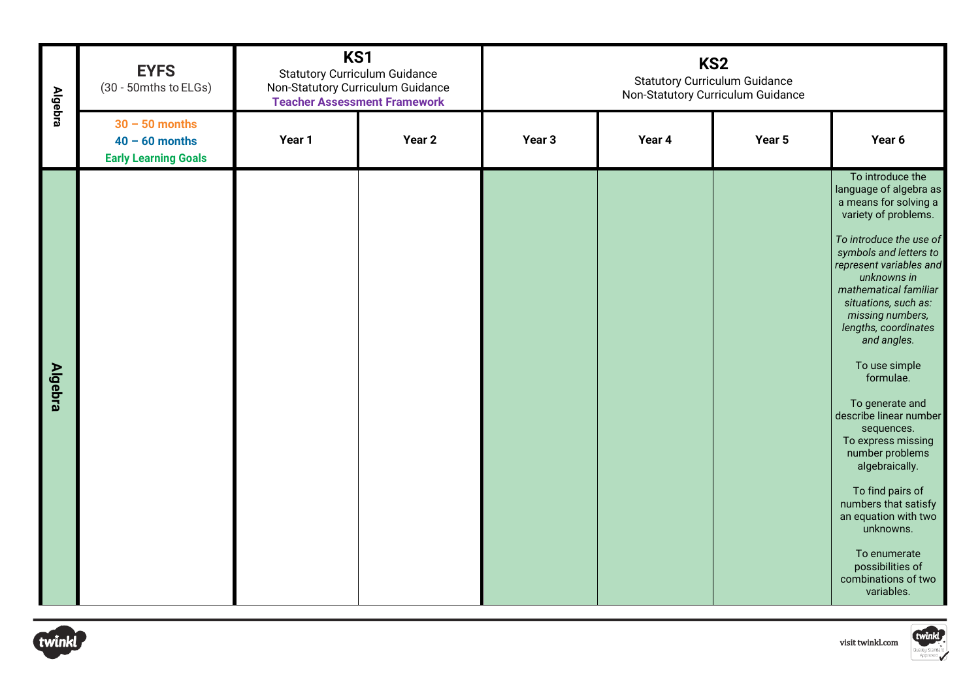| <b>Algebra</b> | <b>EYFS</b><br>(30 - 50mths to ELGs)                                | KS1<br><b>Statutory Curriculum Guidance</b><br>Non-Statutory Curriculum Guidance<br><b>Teacher Assessment Framework</b> |                   | KS <sub>2</sub><br><b>Statutory Curriculum Guidance</b><br>Non-Statutory Curriculum Guidance |        |        |                                                                                                                                                                                                                                                                                                                                                                                                                                                                                                                                                                                                                      |  |  |  |
|----------------|---------------------------------------------------------------------|-------------------------------------------------------------------------------------------------------------------------|-------------------|----------------------------------------------------------------------------------------------|--------|--------|----------------------------------------------------------------------------------------------------------------------------------------------------------------------------------------------------------------------------------------------------------------------------------------------------------------------------------------------------------------------------------------------------------------------------------------------------------------------------------------------------------------------------------------------------------------------------------------------------------------------|--|--|--|
|                | $30 - 50$ months<br>$40 - 60$ months<br><b>Early Learning Goals</b> | Year 1                                                                                                                  | Year <sub>2</sub> | Year <sub>3</sub>                                                                            | Year 4 | Year 5 | Year 6                                                                                                                                                                                                                                                                                                                                                                                                                                                                                                                                                                                                               |  |  |  |
| <b>Algebra</b> |                                                                     |                                                                                                                         |                   |                                                                                              |        |        | To introduce the<br>language of algebra as<br>a means for solving a<br>variety of problems.<br>To introduce the use of<br>symbols and letters to<br>represent variables and<br>unknowns in<br>mathematical familiar<br>situations, such as:<br>missing numbers,<br>lengths, coordinates<br>and angles.<br>To use simple<br>formulae.<br>To generate and<br>describe linear number<br>sequences.<br>To express missing<br>number problems<br>algebraically.<br>To find pairs of<br>numbers that satisfy<br>an equation with two<br>unknowns.<br>To enumerate<br>possibilities of<br>combinations of two<br>variables. |  |  |  |
| twinkl         | twinkl<br>visit twinkl.com                                          |                                                                                                                         |                   |                                                                                              |        |        |                                                                                                                                                                                                                                                                                                                                                                                                                                                                                                                                                                                                                      |  |  |  |



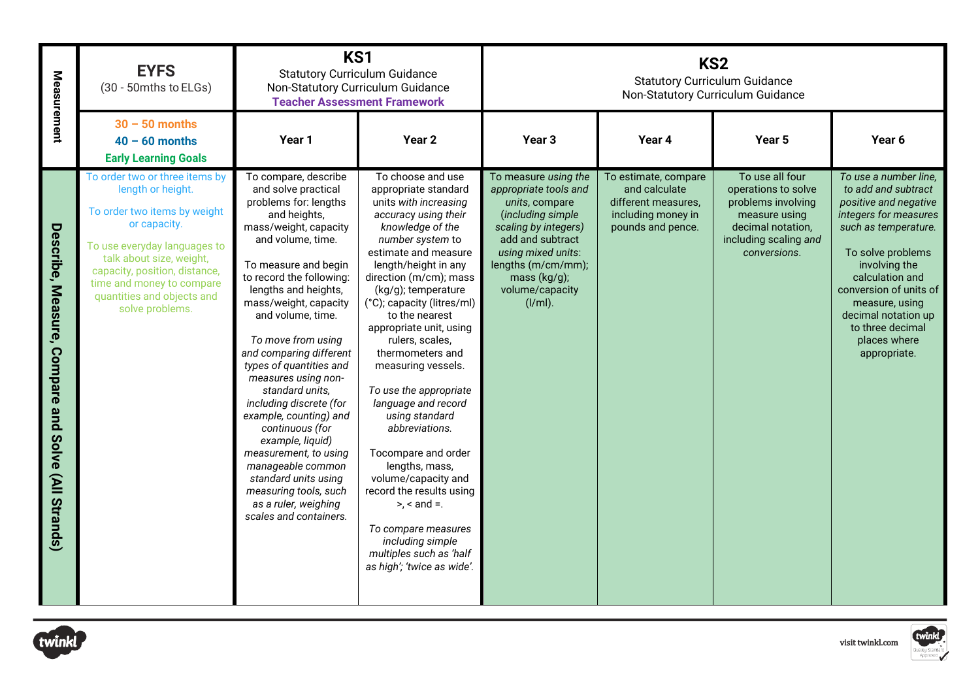| Measurement                                              | <b>EYFS</b><br>(30 - 50mths to ELGs)                                                                                                                                                                                                                                           | KS1<br><b>Statutory Curriculum Guidance</b><br>Non-Statutory Curriculum Guidance<br><b>Teacher Assessment Framework</b>                                                                                                                                                                                                                                                                                                                                                                                                                                                                                                         |                                                                                                                                                                                                                                                                                                                                                                                                                                                                                                                                                                                                                                                                                    | KS <sub>2</sub><br><b>Statutory Curriculum Guidance</b><br>Non-Statutory Curriculum Guidance                                                                                                                                     |                                                                                                         |                                                                                                                                             |                                                                                                                                                                                                                                                                                                        |
|----------------------------------------------------------|--------------------------------------------------------------------------------------------------------------------------------------------------------------------------------------------------------------------------------------------------------------------------------|---------------------------------------------------------------------------------------------------------------------------------------------------------------------------------------------------------------------------------------------------------------------------------------------------------------------------------------------------------------------------------------------------------------------------------------------------------------------------------------------------------------------------------------------------------------------------------------------------------------------------------|------------------------------------------------------------------------------------------------------------------------------------------------------------------------------------------------------------------------------------------------------------------------------------------------------------------------------------------------------------------------------------------------------------------------------------------------------------------------------------------------------------------------------------------------------------------------------------------------------------------------------------------------------------------------------------|----------------------------------------------------------------------------------------------------------------------------------------------------------------------------------------------------------------------------------|---------------------------------------------------------------------------------------------------------|---------------------------------------------------------------------------------------------------------------------------------------------|--------------------------------------------------------------------------------------------------------------------------------------------------------------------------------------------------------------------------------------------------------------------------------------------------------|
|                                                          | $30 - 50$ months<br>$40 - 60$ months<br><b>Early Learning Goals</b>                                                                                                                                                                                                            | Year 1                                                                                                                                                                                                                                                                                                                                                                                                                                                                                                                                                                                                                          | Year 2                                                                                                                                                                                                                                                                                                                                                                                                                                                                                                                                                                                                                                                                             | Year <sub>3</sub>                                                                                                                                                                                                                | Year 4                                                                                                  | Year 5                                                                                                                                      | Year 6                                                                                                                                                                                                                                                                                                 |
| Describe, Measure, Compare<br>pue<br>Solve (All Strands) | To order two or three items by<br>length or height.<br>To order two items by weight<br>or capacity.<br>To use everyday languages to<br>talk about size, weight,<br>capacity, position, distance,<br>time and money to compare<br>quantities and objects and<br>solve problems. | To compare, describe<br>and solve practical<br>problems for: lengths<br>and heights,<br>mass/weight, capacity<br>and volume, time.<br>To measure and begin<br>to record the following:<br>lengths and heights,<br>mass/weight, capacity<br>and volume, time.<br>To move from using<br>and comparing different<br>types of quantities and<br>measures using non-<br>standard units,<br>including discrete (for<br>example, counting) and<br>continuous (for<br>example, liquid)<br>measurement, to using<br>manageable common<br>standard units using<br>measuring tools, such<br>as a ruler, weighing<br>scales and containers. | To choose and use<br>appropriate standard<br>units with increasing<br>accuracy using their<br>knowledge of the<br>number system to<br>estimate and measure<br>length/height in any<br>direction (m/cm); mass<br>(kg/g); temperature<br>(°C); capacity (litres/ml)<br>to the nearest<br>appropriate unit, using<br>rulers, scales,<br>thermometers and<br>measuring vessels.<br>To use the appropriate<br>language and record<br>using standard<br>abbreviations.<br>Tocompare and order<br>lengths, mass,<br>volume/capacity and<br>record the results using<br>$>$ , < and =.<br>To compare measures<br>including simple<br>multiples such as 'half<br>as high'; 'twice as wide'. | To measure using the<br>appropriate tools and<br>units, compare<br>(including simple<br>scaling by integers)<br>add and subtract<br>using mixed units:<br>lengths (m/cm/mm);<br>mass $(kg/g)$ ;<br>volume/capacity<br>$(I/ml)$ . | To estimate, compare<br>and calculate<br>different measures,<br>including money in<br>pounds and pence. | To use all four<br>operations to solve<br>problems involving<br>measure using<br>decimal notation,<br>including scaling and<br>conversions. | To use a number line,<br>to add and subtract<br>positive and negative<br>integers for measures<br>such as temperature.<br>To solve problems<br>involving the<br>calculation and<br>conversion of units of<br>measure, using<br>decimal notation up<br>to three decimal<br>places where<br>appropriate. |
| :winkl                                                   |                                                                                                                                                                                                                                                                                |                                                                                                                                                                                                                                                                                                                                                                                                                                                                                                                                                                                                                                 |                                                                                                                                                                                                                                                                                                                                                                                                                                                                                                                                                                                                                                                                                    |                                                                                                                                                                                                                                  |                                                                                                         |                                                                                                                                             | twinkl<br>visit twinkl.com                                                                                                                                                                                                                                                                             |



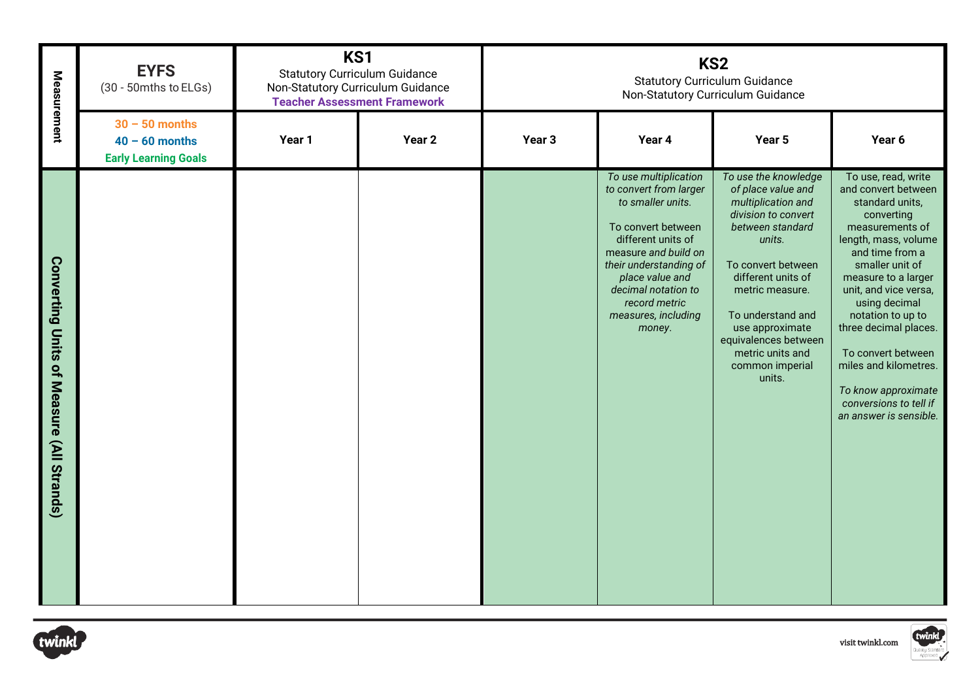| Measurement                               | <b>EYFS</b><br>(30 - 50mths to ELGs)                                | KS1<br><b>Statutory Curriculum Guidance</b><br>Non-Statutory Curriculum Guidance<br><b>Teacher Assessment Framework</b> |                   | KS <sub>2</sub><br><b>Statutory Curriculum Guidance</b><br>Non-Statutory Curriculum Guidance |                                                                                                                                                                                                                                                                |                                                                                                                                                                                                                                                                                                       |                                                                                                                                                                                                                                                                                                                                                                                                       |  |  |  |
|-------------------------------------------|---------------------------------------------------------------------|-------------------------------------------------------------------------------------------------------------------------|-------------------|----------------------------------------------------------------------------------------------|----------------------------------------------------------------------------------------------------------------------------------------------------------------------------------------------------------------------------------------------------------------|-------------------------------------------------------------------------------------------------------------------------------------------------------------------------------------------------------------------------------------------------------------------------------------------------------|-------------------------------------------------------------------------------------------------------------------------------------------------------------------------------------------------------------------------------------------------------------------------------------------------------------------------------------------------------------------------------------------------------|--|--|--|
|                                           | $30 - 50$ months<br>$40 - 60$ months<br><b>Early Learning Goals</b> | Year 1                                                                                                                  | Year <sub>2</sub> | Year <sub>3</sub>                                                                            | Year 4                                                                                                                                                                                                                                                         | Year 5                                                                                                                                                                                                                                                                                                | Year 6                                                                                                                                                                                                                                                                                                                                                                                                |  |  |  |
| Converting Units of Measure (All Strands) |                                                                     |                                                                                                                         |                   |                                                                                              | To use multiplication<br>to convert from larger<br>to smaller units.<br>To convert between<br>different units of<br>measure and build on<br>their understanding of<br>place value and<br>decimal notation to<br>record metric<br>measures, including<br>money. | To use the knowledge<br>of place value and<br>multiplication and<br>division to convert<br>between standard<br>units.<br>To convert between<br>different units of<br>metric measure.<br>To understand and<br>use approximate<br>equivalences between<br>metric units and<br>common imperial<br>units. | To use, read, write<br>and convert between<br>standard units,<br>converting<br>measurements of<br>length, mass, volume<br>and time from a<br>smaller unit of<br>measure to a larger<br>unit, and vice versa,<br>using decimal<br>notation to up to<br>three decimal places.<br>To convert between<br>miles and kilometres.<br>To know approximate<br>conversions to tell if<br>an answer is sensible. |  |  |  |
| twinkl                                    | twinkl<br>visit twinkl.com                                          |                                                                                                                         |                   |                                                                                              |                                                                                                                                                                                                                                                                |                                                                                                                                                                                                                                                                                                       |                                                                                                                                                                                                                                                                                                                                                                                                       |  |  |  |



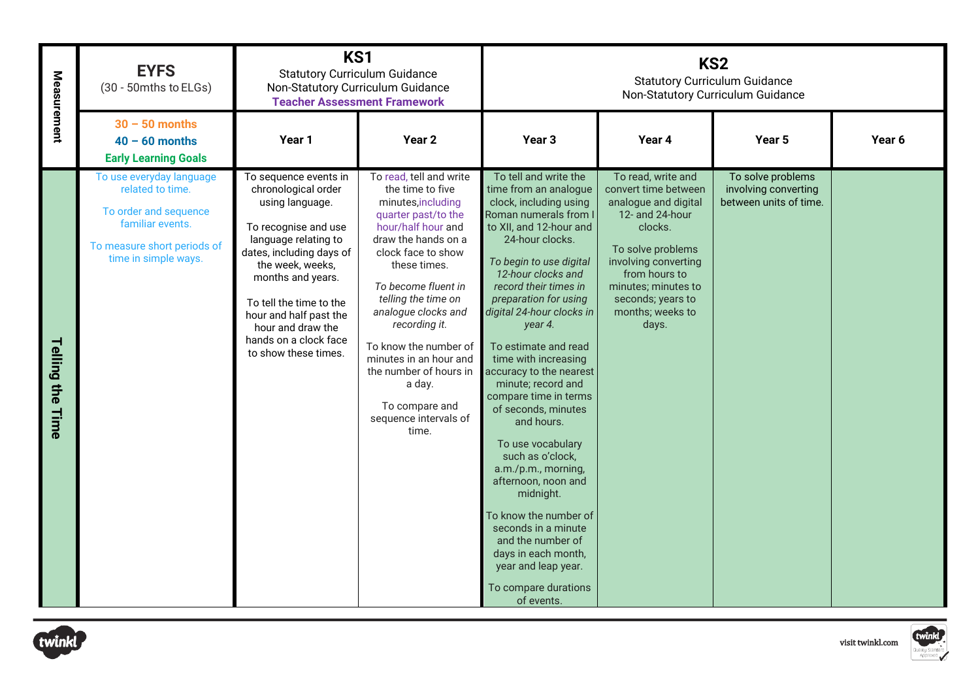| Measurement      | <b>EYFS</b><br>(30 - 50mths to ELGs)                                                                                                             | KS1<br><b>Statutory Curriculum Guidance</b><br>Non-Statutory Curriculum Guidance<br><b>Teacher Assessment Framework</b>                                                                                                                                                                                         |                                                                                                                                                                                                                                                                                                                                                                                                              | KS <sub>2</sub><br><b>Statutory Curriculum Guidance</b><br>Non-Statutory Curriculum Guidance                                                                                                                                                                                                                                                                                                                                                                                                                                                                                                                                                                                                                           |                                                                                                                                                                                                                                         |                                                                     |                            |  |
|------------------|--------------------------------------------------------------------------------------------------------------------------------------------------|-----------------------------------------------------------------------------------------------------------------------------------------------------------------------------------------------------------------------------------------------------------------------------------------------------------------|--------------------------------------------------------------------------------------------------------------------------------------------------------------------------------------------------------------------------------------------------------------------------------------------------------------------------------------------------------------------------------------------------------------|------------------------------------------------------------------------------------------------------------------------------------------------------------------------------------------------------------------------------------------------------------------------------------------------------------------------------------------------------------------------------------------------------------------------------------------------------------------------------------------------------------------------------------------------------------------------------------------------------------------------------------------------------------------------------------------------------------------------|-----------------------------------------------------------------------------------------------------------------------------------------------------------------------------------------------------------------------------------------|---------------------------------------------------------------------|----------------------------|--|
|                  | $30 - 50$ months<br>$40 - 60$ months<br><b>Early Learning Goals</b>                                                                              | Year 1                                                                                                                                                                                                                                                                                                          | Year <sub>2</sub>                                                                                                                                                                                                                                                                                                                                                                                            | Year <sub>3</sub>                                                                                                                                                                                                                                                                                                                                                                                                                                                                                                                                                                                                                                                                                                      | Year 4                                                                                                                                                                                                                                  | Year 5                                                              | Year 6                     |  |
| Telling the Time | To use everyday language<br>related to time.<br>To order and sequence<br>familiar events.<br>To measure short periods of<br>time in simple ways. | To sequence events in<br>chronological order<br>using language.<br>To recognise and use<br>language relating to<br>dates, including days of<br>the week, weeks,<br>months and years.<br>To tell the time to the<br>hour and half past the<br>hour and draw the<br>hands on a clock face<br>to show these times. | To read, tell and write<br>the time to five<br>minutes, including<br>quarter past/to the<br>hour/half hour and<br>draw the hands on a<br>clock face to show<br>these times.<br>To become fluent in<br>telling the time on<br>analogue clocks and<br>recording it.<br>To know the number of<br>minutes in an hour and<br>the number of hours in<br>a day.<br>To compare and<br>sequence intervals of<br>time. | To tell and write the<br>time from an analogue<br>clock, including using<br>Roman numerals from I<br>to XII, and 12-hour and<br>24-hour clocks.<br>To begin to use digital<br>12-hour clocks and<br>record their times in<br>preparation for using<br>digital 24-hour clocks in<br>year 4.<br>To estimate and read<br>time with increasing<br>accuracy to the nearest<br>minute; record and<br>compare time in terms<br>of seconds, minutes<br>and hours.<br>To use vocabulary<br>such as o'clock,<br>a.m./p.m., morning,<br>afternoon, noon and<br>midnight.<br>To know the number of<br>seconds in a minute<br>and the number of<br>days in each month,<br>year and leap year.<br>To compare durations<br>of events. | To read, write and<br>convert time between<br>analogue and digital<br>12- and 24-hour<br>clocks.<br>To solve problems<br>involving converting<br>from hours to<br>minutes; minutes to<br>seconds; years to<br>months; weeks to<br>days. | To solve problems<br>involving converting<br>between units of time. |                            |  |
| winkl            |                                                                                                                                                  |                                                                                                                                                                                                                                                                                                                 |                                                                                                                                                                                                                                                                                                                                                                                                              |                                                                                                                                                                                                                                                                                                                                                                                                                                                                                                                                                                                                                                                                                                                        |                                                                                                                                                                                                                                         |                                                                     | twinkl<br>visit twinkl.com |  |



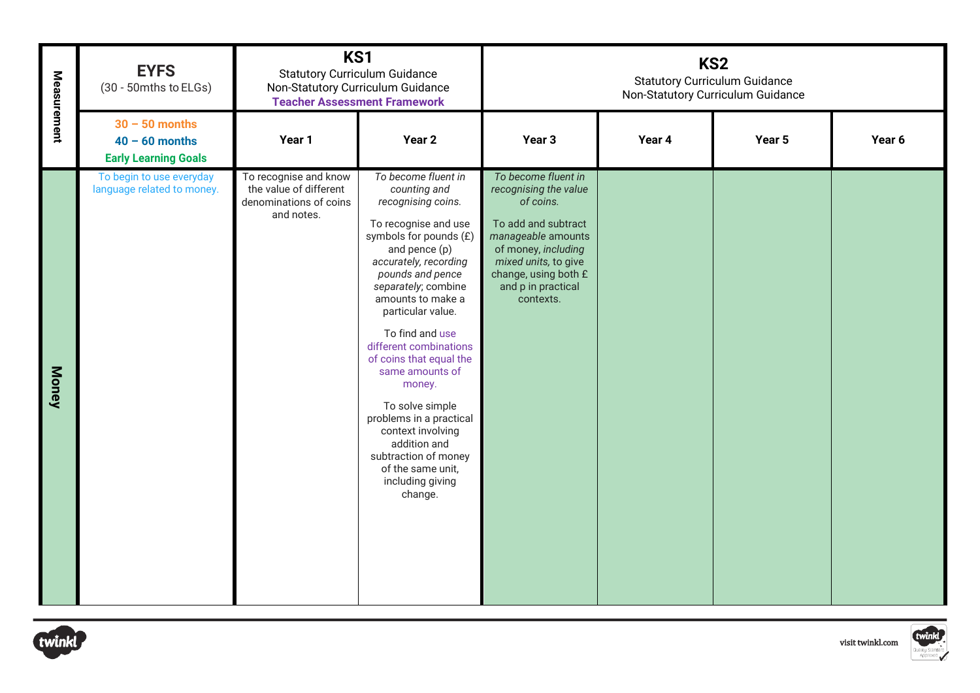| $30 - 50$ months<br>Year 1<br>Year <sub>2</sub><br>Year 3<br>Year 4<br>Year 5<br>Year 6<br>$40 - 60$ months<br><b>Early Learning Goals</b><br>To begin to use everyday<br>To recognise and know<br>To become fluent in<br>To become fluent in<br>the value of different<br>language related to money.<br>recognising the value<br>counting and<br>denominations of coins<br>of coins.<br>recognising coins.<br>and notes.<br>To recognise and use<br>To add and subtract<br>symbols for pounds (£)<br>manageable amounts<br>of money, including<br>and pence (p)<br>accurately, recording<br>mixed units, to give<br>change, using both £<br>pounds and pence<br>separately; combine<br>and p in practical<br>amounts to make a<br>contexts.<br>particular value.<br>To find and use<br>different combinations<br>of coins that equal the<br><b>Money</b><br>same amounts of<br>money.<br>To solve simple<br>problems in a practical<br>context involving<br>addition and<br>subtraction of money<br>of the same unit,<br>including giving<br>change. | Measurement | <b>EYFS</b><br>(30 - 50mths to ELGs) | KS1<br><b>Statutory Curriculum Guidance</b><br>Non-Statutory Curriculum Guidance<br><b>Teacher Assessment Framework</b> |  | KS <sub>2</sub><br><b>Statutory Curriculum Guidance</b><br>Non-Statutory Curriculum Guidance |  |  |  |  |
|-------------------------------------------------------------------------------------------------------------------------------------------------------------------------------------------------------------------------------------------------------------------------------------------------------------------------------------------------------------------------------------------------------------------------------------------------------------------------------------------------------------------------------------------------------------------------------------------------------------------------------------------------------------------------------------------------------------------------------------------------------------------------------------------------------------------------------------------------------------------------------------------------------------------------------------------------------------------------------------------------------------------------------------------------------|-------------|--------------------------------------|-------------------------------------------------------------------------------------------------------------------------|--|----------------------------------------------------------------------------------------------|--|--|--|--|
|                                                                                                                                                                                                                                                                                                                                                                                                                                                                                                                                                                                                                                                                                                                                                                                                                                                                                                                                                                                                                                                       |             |                                      |                                                                                                                         |  |                                                                                              |  |  |  |  |
| twinkl                                                                                                                                                                                                                                                                                                                                                                                                                                                                                                                                                                                                                                                                                                                                                                                                                                                                                                                                                                                                                                                |             |                                      |                                                                                                                         |  |                                                                                              |  |  |  |  |



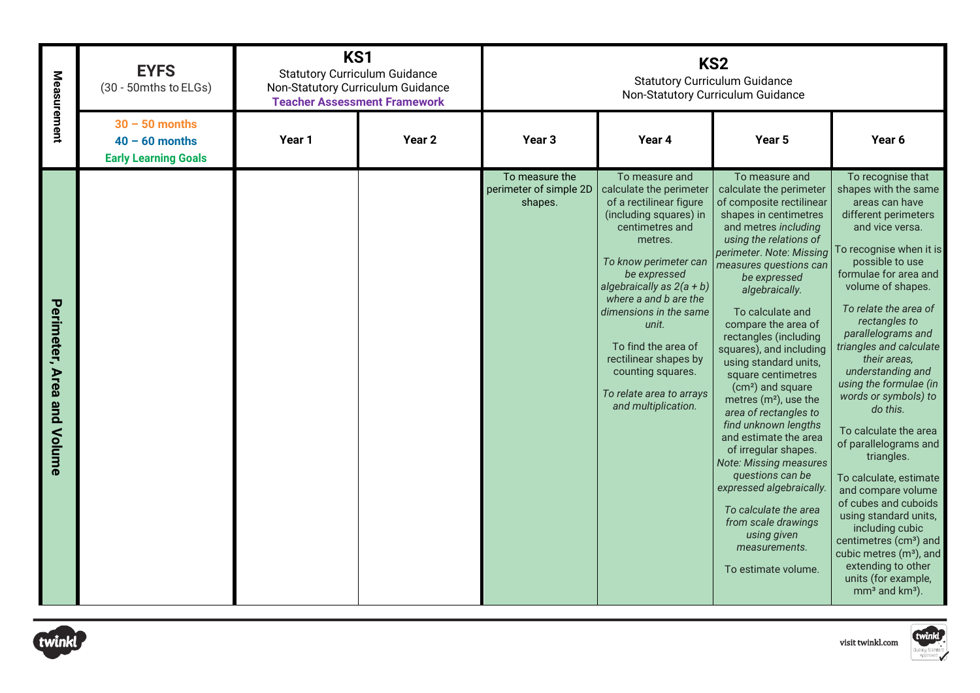| Measurement                | <b>EYFS</b><br>(30 - 50mths to ELGs)                                | KS1<br><b>Statutory Curriculum Guidance</b><br>Non-Statutory Curriculum Guidance<br><b>Teacher Assessment Framework</b> |                   | KS <sub>2</sub><br><b>Statutory Curriculum Guidance</b><br>Non-Statutory Curriculum Guidance<br>Year 4<br>Year 3<br>Year 5<br>To measure the<br>To measure and<br>To measure and<br>calculate the perimeter<br>calculate the perimeter<br>of a rectilinear figure<br>of composite rectilinear<br>shapes.<br>(including squares) in<br>shapes in centimetres<br>centimetres and<br>and metres including<br>using the relations of<br>metres.<br>perimeter. Note: Missing<br>To know perimeter can<br>measures questions can<br>be expressed<br>be expressed<br>algebraically as $2(a + b)$<br>algebraically.<br>where a and b are the<br>dimensions in the same<br>To calculate and<br>compare the area of<br>unit.<br>rectangles (including<br>To find the area of<br>squares), and including<br>rectilinear shapes by<br>using standard units,<br>counting squares.<br>square centimetres |                                                 |                                                                                                                                                                                                                                                                                                                                                              |                                                                                                                                                                                                                                                                                                                                                                                                                                                                                                                                                                                                                                                                                                                                                          |
|----------------------------|---------------------------------------------------------------------|-------------------------------------------------------------------------------------------------------------------------|-------------------|--------------------------------------------------------------------------------------------------------------------------------------------------------------------------------------------------------------------------------------------------------------------------------------------------------------------------------------------------------------------------------------------------------------------------------------------------------------------------------------------------------------------------------------------------------------------------------------------------------------------------------------------------------------------------------------------------------------------------------------------------------------------------------------------------------------------------------------------------------------------------------------------|-------------------------------------------------|--------------------------------------------------------------------------------------------------------------------------------------------------------------------------------------------------------------------------------------------------------------------------------------------------------------------------------------------------------------|----------------------------------------------------------------------------------------------------------------------------------------------------------------------------------------------------------------------------------------------------------------------------------------------------------------------------------------------------------------------------------------------------------------------------------------------------------------------------------------------------------------------------------------------------------------------------------------------------------------------------------------------------------------------------------------------------------------------------------------------------------|
|                            | $30 - 50$ months<br>$40 - 60$ months<br><b>Early Learning Goals</b> | Year 1                                                                                                                  | Year <sub>2</sub> |                                                                                                                                                                                                                                                                                                                                                                                                                                                                                                                                                                                                                                                                                                                                                                                                                                                                                            |                                                 |                                                                                                                                                                                                                                                                                                                                                              | Year 6                                                                                                                                                                                                                                                                                                                                                                                                                                                                                                                                                                                                                                                                                                                                                   |
| Perimeter, Area and Volume |                                                                     |                                                                                                                         |                   | perimeter of simple 2D                                                                                                                                                                                                                                                                                                                                                                                                                                                                                                                                                                                                                                                                                                                                                                                                                                                                     | To relate area to arrays<br>and multiplication. | (cm <sup>2</sup> ) and square<br>metres (m <sup>2</sup> ), use the<br>area of rectangles to<br>find unknown lengths<br>and estimate the area<br>of irregular shapes.<br><b>Note: Missing measures</b><br>questions can be<br>expressed algebraically.<br>To calculate the area<br>from scale drawings<br>using given<br>measurements.<br>To estimate volume. | To recognise that<br>shapes with the same<br>areas can have<br>different perimeters<br>and vice versa.<br>To recognise when it is<br>possible to use<br>formulae for area and<br>volume of shapes.<br>To relate the area of<br>rectangles to<br>parallelograms and<br>triangles and calculate<br>their areas,<br>understanding and<br>using the formulae (in<br>words or symbols) to<br>do this.<br>To calculate the area<br>of parallelograms and<br>triangles.<br>To calculate, estimate<br>and compare volume<br>of cubes and cuboids<br>using standard units,<br>including cubic<br>centimetres (cm <sup>3</sup> ) and<br>cubic metres (m <sup>3</sup> ), and<br>extending to other<br>units (for example,<br>mm <sup>3</sup> and km <sup>3</sup> ). |
| twinkl                     |                                                                     |                                                                                                                         |                   |                                                                                                                                                                                                                                                                                                                                                                                                                                                                                                                                                                                                                                                                                                                                                                                                                                                                                            |                                                 |                                                                                                                                                                                                                                                                                                                                                              | twinkl<br>visit twinkl.com                                                                                                                                                                                                                                                                                                                                                                                                                                                                                                                                                                                                                                                                                                                               |



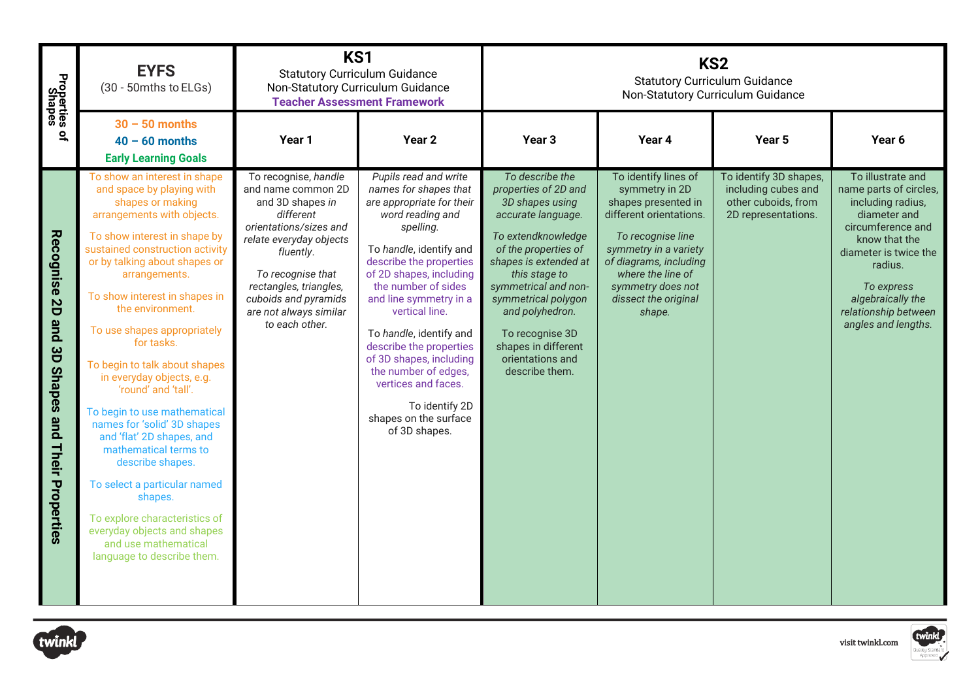| Properties<br>Shapes                                  | <b>EYFS</b><br>(30 - 50mths to ELGs)                                                                                                                                                                                                                                                                                                                                                                                                                                                                                                                                                                                                                                                                                              | KS1<br><b>Statutory Curriculum Guidance</b><br><b>Teacher Assessment Framework</b>                                                                                                                                                                               | Non-Statutory Curriculum Guidance                                                                                                                                                                                                                                                                                                                                                                                                                            |                                                                                                                                                                                                                                                                                                                            | KS <sub>2</sub>                                                                                                                                                                                                                              | <b>Statutory Curriculum Guidance</b><br>Non-Statutory Curriculum Guidance                   |                                                                                                                                                                                                                                              |  |  |
|-------------------------------------------------------|-----------------------------------------------------------------------------------------------------------------------------------------------------------------------------------------------------------------------------------------------------------------------------------------------------------------------------------------------------------------------------------------------------------------------------------------------------------------------------------------------------------------------------------------------------------------------------------------------------------------------------------------------------------------------------------------------------------------------------------|------------------------------------------------------------------------------------------------------------------------------------------------------------------------------------------------------------------------------------------------------------------|--------------------------------------------------------------------------------------------------------------------------------------------------------------------------------------------------------------------------------------------------------------------------------------------------------------------------------------------------------------------------------------------------------------------------------------------------------------|----------------------------------------------------------------------------------------------------------------------------------------------------------------------------------------------------------------------------------------------------------------------------------------------------------------------------|----------------------------------------------------------------------------------------------------------------------------------------------------------------------------------------------------------------------------------------------|---------------------------------------------------------------------------------------------|----------------------------------------------------------------------------------------------------------------------------------------------------------------------------------------------------------------------------------------------|--|--|
| ዹ                                                     | $30 - 50$ months<br>$40 - 60$ months<br><b>Early Learning Goals</b>                                                                                                                                                                                                                                                                                                                                                                                                                                                                                                                                                                                                                                                               | Year 1                                                                                                                                                                                                                                                           | Year <sub>2</sub>                                                                                                                                                                                                                                                                                                                                                                                                                                            | Year <sub>3</sub>                                                                                                                                                                                                                                                                                                          | Year 4                                                                                                                                                                                                                                       | Year 5                                                                                      | Year 6                                                                                                                                                                                                                                       |  |  |
| Recognise 2D<br>pue<br>3D Shapes and Their Properties | To show an interest in shape<br>and space by playing with<br>shapes or making<br>arrangements with objects.<br>To show interest in shape by<br>sustained construction activity<br>or by talking about shapes or<br>arrangements.<br>To show interest in shapes in<br>the environment.<br>To use shapes appropriately<br>for tasks.<br>To begin to talk about shapes<br>in everyday objects, e.g.<br>'round' and 'tall'.<br>To begin to use mathematical<br>names for 'solid' 3D shapes<br>and 'flat' 2D shapes, and<br>mathematical terms to<br>describe shapes.<br>To select a particular named<br>shapes.<br>To explore characteristics of<br>everyday objects and shapes<br>and use mathematical<br>language to describe them. | To recognise, handle<br>and name common 2D<br>and 3D shapes in<br>different<br>orientations/sizes and<br>relate everyday objects<br>fluently.<br>To recognise that<br>rectangles, triangles,<br>cuboids and pyramids<br>are not always similar<br>to each other. | Pupils read and write<br>names for shapes that<br>are appropriate for their<br>word reading and<br>spelling.<br>To handle, identify and<br>describe the properties<br>of 2D shapes, including<br>the number of sides<br>and line symmetry in a<br>vertical line.<br>To handle, identify and<br>describe the properties<br>of 3D shapes, including<br>the number of edges,<br>vertices and faces.<br>To identify 2D<br>shapes on the surface<br>of 3D shapes. | To describe the<br>properties of 2D and<br>3D shapes using<br>accurate language.<br>To extendknowledge<br>of the properties of<br>shapes is extended at<br>this stage to<br>symmetrical and non-<br>symmetrical polygon<br>and polyhedron.<br>To recognise 3D<br>shapes in different<br>orientations and<br>describe them. | To identify lines of<br>symmetry in 2D<br>shapes presented in<br>different orientations.<br>To recognise line<br>symmetry in a variety<br>of diagrams, including<br>where the line of<br>symmetry does not<br>dissect the original<br>shape. | To identify 3D shapes,<br>including cubes and<br>other cuboids, from<br>2D representations. | To illustrate and<br>name parts of circles,<br>including radius,<br>diameter and<br>circumference and<br>know that the<br>diameter is twice the<br>radius.<br>To express<br>algebraically the<br>relationship between<br>angles and lengths. |  |  |
| twinkl                                                | twinkl<br>visit twinkl.com                                                                                                                                                                                                                                                                                                                                                                                                                                                                                                                                                                                                                                                                                                        |                                                                                                                                                                                                                                                                  |                                                                                                                                                                                                                                                                                                                                                                                                                                                              |                                                                                                                                                                                                                                                                                                                            |                                                                                                                                                                                                                                              |                                                                                             |                                                                                                                                                                                                                                              |  |  |



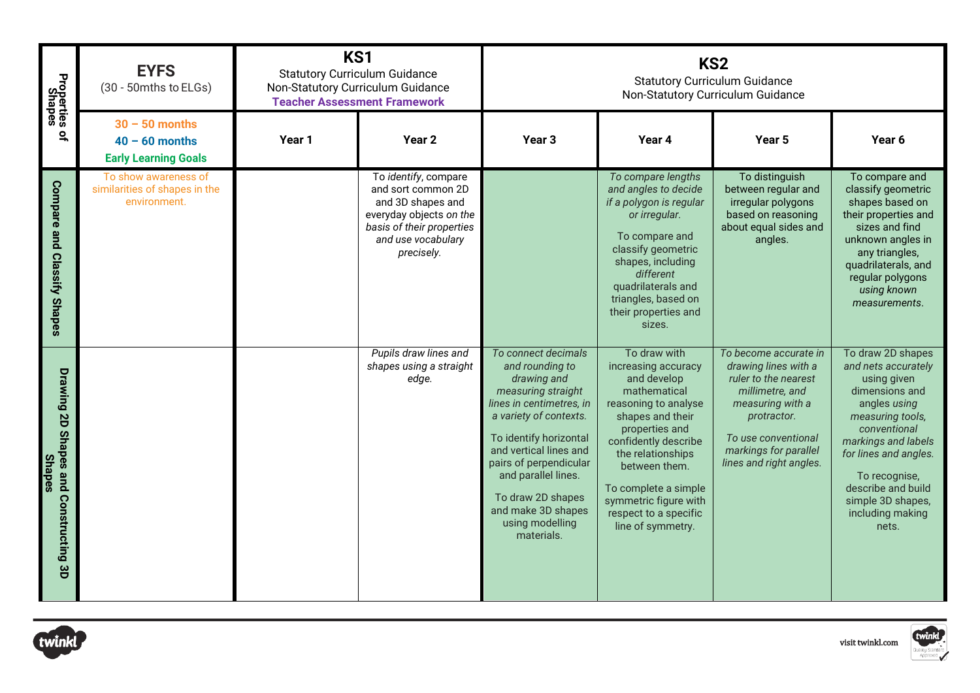| Properties<br>Shapes                                   | <b>EYFS</b><br>(30 - 50mths to ELGs)                                  | KS1<br><b>Statutory Curriculum Guidance</b><br>Non-Statutory Curriculum Guidance<br><b>Teacher Assessment Framework</b> |                                                                                                                                                             |                                                                                                                                                                                                                                                                                                                    | KS <sub>2</sub><br><b>Statutory Curriculum Guidance</b><br>Non-Statutory Curriculum Guidance                                                                                                                                                                                                  |                                                                                                                                                                                                        |                                                                                                                                                                                                                                                                        |  |
|--------------------------------------------------------|-----------------------------------------------------------------------|-------------------------------------------------------------------------------------------------------------------------|-------------------------------------------------------------------------------------------------------------------------------------------------------------|--------------------------------------------------------------------------------------------------------------------------------------------------------------------------------------------------------------------------------------------------------------------------------------------------------------------|-----------------------------------------------------------------------------------------------------------------------------------------------------------------------------------------------------------------------------------------------------------------------------------------------|--------------------------------------------------------------------------------------------------------------------------------------------------------------------------------------------------------|------------------------------------------------------------------------------------------------------------------------------------------------------------------------------------------------------------------------------------------------------------------------|--|
| 읶                                                      | $30 - 50$ months<br>$40 - 60$ months<br><b>Early Learning Goals</b>   | Year 1                                                                                                                  | Year <sub>2</sub>                                                                                                                                           | Year <sub>3</sub>                                                                                                                                                                                                                                                                                                  | Year 4                                                                                                                                                                                                                                                                                        | Year <sub>5</sub>                                                                                                                                                                                      | Year 6                                                                                                                                                                                                                                                                 |  |
| <b>Compare and</b><br><b>Classify Shapes</b>           | To show awareness of<br>similarities of shapes in the<br>environment. |                                                                                                                         | To identify, compare<br>and sort common 2D<br>and 3D shapes and<br>everyday objects on the<br>basis of their properties<br>and use vocabulary<br>precisely. |                                                                                                                                                                                                                                                                                                                    | To compare lengths<br>and angles to decide<br>if a polygon is regular<br>or irregular.<br>To compare and<br>classify geometric<br>shapes, including<br>different<br>quadrilaterals and<br>triangles, based on<br>their properties and<br>sizes.                                               | To distinguish<br>between regular and<br>irregular polygons<br>based on reasoning<br>about equal sides and<br>angles.                                                                                  | To compare and<br>classify geometric<br>shapes based on<br>their properties and<br>sizes and find<br>unknown angles in<br>any triangles,<br>quadrilaterals, and<br>regular polygons<br>using known<br>measurements.                                                    |  |
| Drawing 2D Shapes and Constructing 3D<br><b>Shapes</b> |                                                                       |                                                                                                                         | Pupils draw lines and<br>shapes using a straight<br>edge.                                                                                                   | To connect decimals<br>and rounding to<br>drawing and<br>measuring straight<br>lines in centimetres, in<br>a variety of contexts.<br>To identify horizontal<br>and vertical lines and<br>pairs of perpendicular<br>and parallel lines.<br>To draw 2D shapes<br>and make 3D shapes<br>using modelling<br>materials. | To draw with<br>increasing accuracy<br>and develop<br>mathematical<br>reasoning to analyse<br>shapes and their<br>properties and<br>confidently describe<br>the relationships<br>between them.<br>To complete a simple<br>symmetric figure with<br>respect to a specific<br>line of symmetry. | To become accurate in<br>drawing lines with a<br>ruler to the nearest<br>millimetre, and<br>measuring with a<br>protractor.<br>To use conventional<br>markings for parallel<br>lines and right angles. | To draw 2D shapes<br>and nets accurately<br>using given<br>dimensions and<br>angles using<br>measuring tools,<br>conventional<br>markings and labels<br>for lines and angles.<br>To recognise,<br>describe and build<br>simple 3D shapes,<br>including making<br>nets. |  |



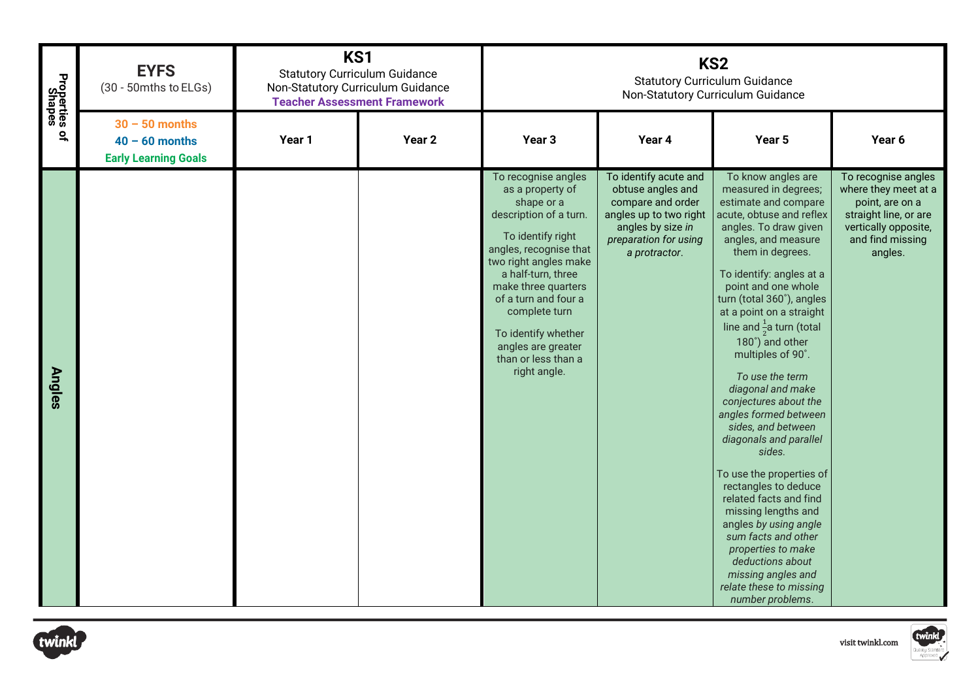| Properties<br>Shapes | <b>EYFS</b><br>(30 - 50mths to ELGs)                                | KS1<br><b>Statutory Curriculum Guidance</b><br>Non-Statutory Curriculum Guidance<br><b>Teacher Assessment Framework</b> |                   |                                                                                                                                                                                                                                                                                                                                   |                                                                                                                                                          | KS <sub>2</sub><br><b>Statutory Curriculum Guidance</b><br>Non-Statutory Curriculum Guidance                                                                                                                                                                                                                                                                                                                                                                                                                                                                                                                                                                                                                                                                                           |                                                                                                                                                |
|----------------------|---------------------------------------------------------------------|-------------------------------------------------------------------------------------------------------------------------|-------------------|-----------------------------------------------------------------------------------------------------------------------------------------------------------------------------------------------------------------------------------------------------------------------------------------------------------------------------------|----------------------------------------------------------------------------------------------------------------------------------------------------------|----------------------------------------------------------------------------------------------------------------------------------------------------------------------------------------------------------------------------------------------------------------------------------------------------------------------------------------------------------------------------------------------------------------------------------------------------------------------------------------------------------------------------------------------------------------------------------------------------------------------------------------------------------------------------------------------------------------------------------------------------------------------------------------|------------------------------------------------------------------------------------------------------------------------------------------------|
| $\overline{a}$       | $30 - 50$ months<br>$40 - 60$ months<br><b>Early Learning Goals</b> | Year 1                                                                                                                  | Year <sub>2</sub> | Year 3                                                                                                                                                                                                                                                                                                                            | Year 4                                                                                                                                                   | Year 5                                                                                                                                                                                                                                                                                                                                                                                                                                                                                                                                                                                                                                                                                                                                                                                 | Year 6                                                                                                                                         |
| <b>Angles</b>        |                                                                     |                                                                                                                         |                   | To recognise angles<br>as a property of<br>shape or a<br>description of a turn.<br>To identify right<br>angles, recognise that<br>two right angles make<br>a half-turn, three<br>make three quarters<br>of a turn and four a<br>complete turn<br>To identify whether<br>angles are greater<br>than or less than a<br>right angle. | To identify acute and<br>obtuse angles and<br>compare and order<br>angles up to two right<br>angles by size in<br>preparation for using<br>a protractor. | To know angles are<br>measured in degrees;<br>estimate and compare<br>acute, obtuse and reflex<br>angles. To draw given<br>angles, and measure<br>them in degrees.<br>To identify: angles at a<br>point and one whole<br>turn (total 360°), angles<br>at a point on a straight<br>line and $\frac{1}{2}$ a turn (total<br>180°) and other<br>multiples of 90°.<br>To use the term<br>diagonal and make<br>conjectures about the<br>angles formed between<br>sides, and between<br>diagonals and parallel<br>sides.<br>To use the properties of<br>rectangles to deduce<br>related facts and find<br>missing lengths and<br>angles by using angle<br>sum facts and other<br>properties to make<br>deductions about<br>missing angles and<br>relate these to missing<br>number problems. | To recognise angles<br>where they meet at a<br>point, are on a<br>straight line, or are<br>vertically opposite,<br>and find missing<br>angles. |
| twinkl               |                                                                     |                                                                                                                         |                   |                                                                                                                                                                                                                                                                                                                                   |                                                                                                                                                          |                                                                                                                                                                                                                                                                                                                                                                                                                                                                                                                                                                                                                                                                                                                                                                                        | twinkl<br>visit twinkl.com                                                                                                                     |



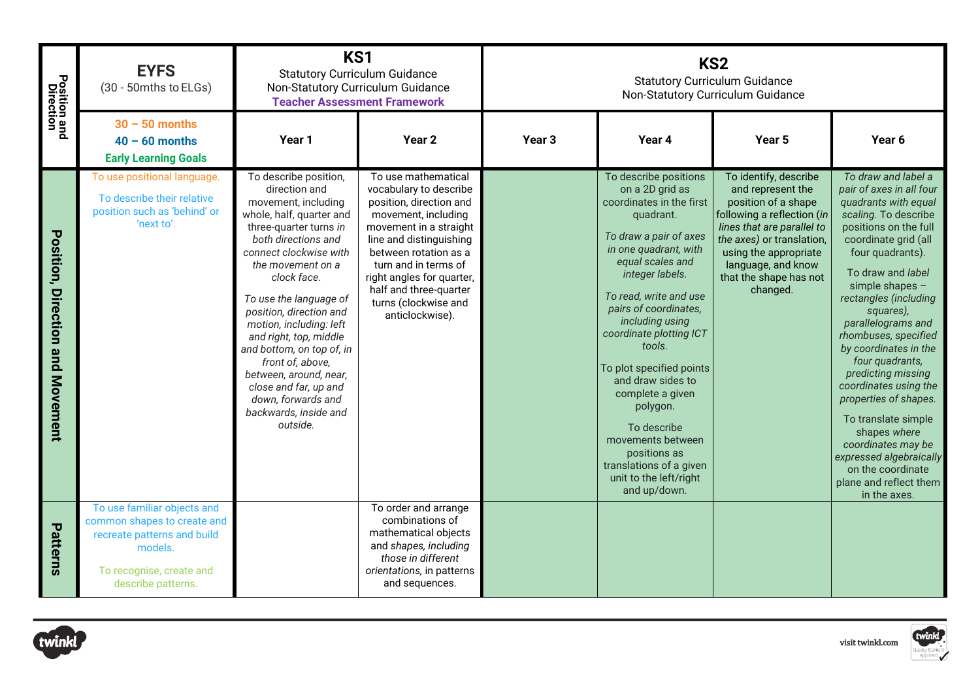| <b>Position and</b><br>Direction | <b>EYFS</b><br>(30 - 50mths to ELGs)                                                                                                                   | KS1<br><b>Statutory Curriculum Guidance</b><br>Non-Statutory Curriculum Guidance<br><b>Teacher Assessment Framework</b>                                                                                                                                                                                                                                                                                                                                                           |                                                                                                                                                                                                                                                                                                         |                   | KS <sub>2</sub><br><b>Statutory Curriculum Guidance</b><br>Non-Statutory Curriculum Guidance                                                                                                                                                                                                                                                                                                                                                                                                     |                                                                                                                                                                                                                                                 |                                                                                                                                                                                                                                                                                                                                                                                                                                                                                                                                                                             |
|----------------------------------|--------------------------------------------------------------------------------------------------------------------------------------------------------|-----------------------------------------------------------------------------------------------------------------------------------------------------------------------------------------------------------------------------------------------------------------------------------------------------------------------------------------------------------------------------------------------------------------------------------------------------------------------------------|---------------------------------------------------------------------------------------------------------------------------------------------------------------------------------------------------------------------------------------------------------------------------------------------------------|-------------------|--------------------------------------------------------------------------------------------------------------------------------------------------------------------------------------------------------------------------------------------------------------------------------------------------------------------------------------------------------------------------------------------------------------------------------------------------------------------------------------------------|-------------------------------------------------------------------------------------------------------------------------------------------------------------------------------------------------------------------------------------------------|-----------------------------------------------------------------------------------------------------------------------------------------------------------------------------------------------------------------------------------------------------------------------------------------------------------------------------------------------------------------------------------------------------------------------------------------------------------------------------------------------------------------------------------------------------------------------------|
|                                  | $30 - 50$ months<br>$40 - 60$ months<br><b>Early Learning Goals</b>                                                                                    | Year 1                                                                                                                                                                                                                                                                                                                                                                                                                                                                            | Year <sub>2</sub>                                                                                                                                                                                                                                                                                       | Year <sub>3</sub> | Year 4                                                                                                                                                                                                                                                                                                                                                                                                                                                                                           | Year 5                                                                                                                                                                                                                                          | Year 6                                                                                                                                                                                                                                                                                                                                                                                                                                                                                                                                                                      |
| Position, Direction and Movement | To use positional language.<br>To describe their relative<br>position such as 'behind' or<br>'next to'.                                                | To describe position,<br>direction and<br>movement, including<br>whole, half, quarter and<br>three-quarter turns in<br>both directions and<br>connect clockwise with<br>the movement on a<br>clock face.<br>To use the language of<br>position, direction and<br>motion, including: left<br>and right, top, middle<br>and bottom, on top of, in<br>front of, above,<br>between, around, near,<br>close and far, up and<br>down, forwards and<br>backwards, inside and<br>outside. | To use mathematical<br>vocabulary to describe<br>position, direction and<br>movement, including<br>movement in a straight<br>line and distinguishing<br>between rotation as a<br>turn and in terms of<br>right angles for quarter,<br>half and three-quarter<br>turns (clockwise and<br>anticlockwise). |                   | To describe positions<br>on a 2D grid as<br>coordinates in the first<br>quadrant.<br>To draw a pair of axes<br>in one quadrant, with<br>equal scales and<br>integer labels.<br>To read, write and use<br>pairs of coordinates,<br>including using<br>coordinate plotting ICT<br>tools.<br>To plot specified points<br>and draw sides to<br>complete a given<br>polygon.<br>To describe<br>movements between<br>positions as<br>translations of a given<br>unit to the left/right<br>and up/down. | To identify, describe<br>and represent the<br>position of a shape<br>following a reflection (in<br>lines that are parallel to<br>the axes) or translation,<br>using the appropriate<br>language, and know<br>that the shape has not<br>changed. | To draw and label a<br>pair of axes in all four<br>quadrants with equal<br>scaling. To describe<br>positions on the full<br>coordinate grid (all<br>four quadrants).<br>To draw and label<br>simple shapes -<br>rectangles (including<br>squares),<br>parallelograms and<br>rhombuses, specified<br>by coordinates in the<br>four quadrants,<br>predicting missing<br>coordinates using the<br>properties of shapes.<br>To translate simple<br>shapes where<br>coordinates may be<br>expressed algebraically<br>on the coordinate<br>plane and reflect them<br>in the axes. |
| Patterns                         | To use familiar objects and<br>common shapes to create and<br>recreate patterns and build<br>models.<br>To recognise, create and<br>describe patterns. |                                                                                                                                                                                                                                                                                                                                                                                                                                                                                   | To order and arrange<br>combinations of<br>mathematical objects<br>and shapes, including<br>those in different<br>orientations, in patterns<br>and sequences.                                                                                                                                           |                   |                                                                                                                                                                                                                                                                                                                                                                                                                                                                                                  |                                                                                                                                                                                                                                                 |                                                                                                                                                                                                                                                                                                                                                                                                                                                                                                                                                                             |
| twinkl                           |                                                                                                                                                        |                                                                                                                                                                                                                                                                                                                                                                                                                                                                                   |                                                                                                                                                                                                                                                                                                         |                   |                                                                                                                                                                                                                                                                                                                                                                                                                                                                                                  |                                                                                                                                                                                                                                                 | twinkl<br>visit twinkl.com                                                                                                                                                                                                                                                                                                                                                                                                                                                                                                                                                  |

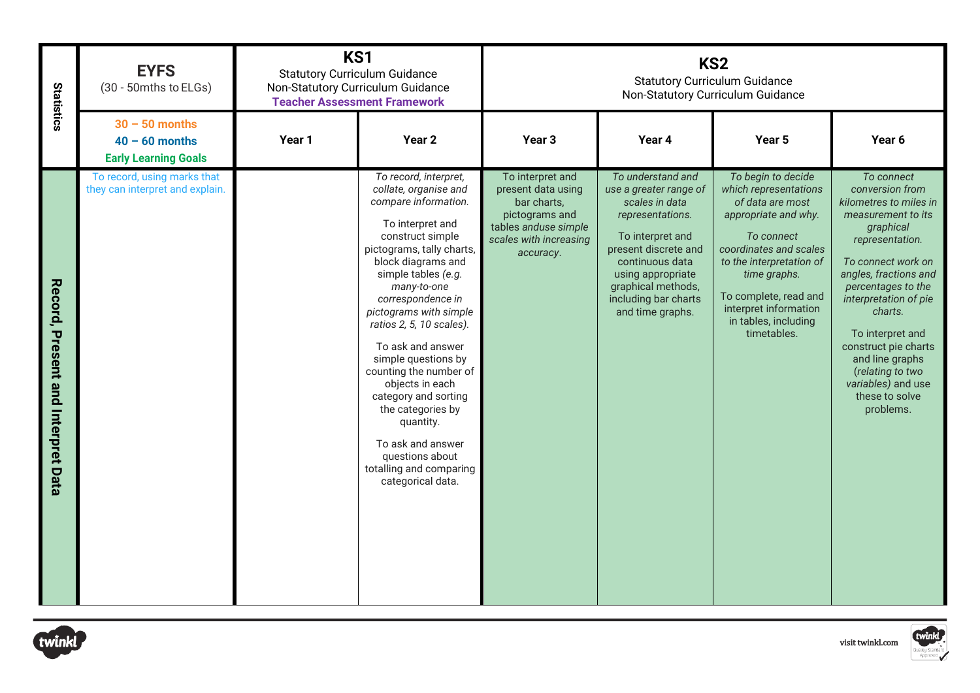| Statistics                         | <b>EYFS</b><br>(30 - 50mths to ELGs)                                | KS1    | <b>Statutory Curriculum Guidance</b><br>Non-Statutory Curriculum Guidance<br><b>Teacher Assessment Framework</b>                                                                                                                                                                                                                                                                                                                                                                                                              |                                                                                                                                        |                                                                                                                                                                                                                                         | KS <sub>2</sub><br><b>Statutory Curriculum Guidance</b><br>Non-Statutory Curriculum Guidance                                                                                                                                                                         |                                                                                                                                                                                                                                                                                                                                                                |  |  |
|------------------------------------|---------------------------------------------------------------------|--------|-------------------------------------------------------------------------------------------------------------------------------------------------------------------------------------------------------------------------------------------------------------------------------------------------------------------------------------------------------------------------------------------------------------------------------------------------------------------------------------------------------------------------------|----------------------------------------------------------------------------------------------------------------------------------------|-----------------------------------------------------------------------------------------------------------------------------------------------------------------------------------------------------------------------------------------|----------------------------------------------------------------------------------------------------------------------------------------------------------------------------------------------------------------------------------------------------------------------|----------------------------------------------------------------------------------------------------------------------------------------------------------------------------------------------------------------------------------------------------------------------------------------------------------------------------------------------------------------|--|--|
|                                    | $30 - 50$ months<br>$40 - 60$ months<br><b>Early Learning Goals</b> | Year 1 | Year <sub>2</sub>                                                                                                                                                                                                                                                                                                                                                                                                                                                                                                             | Year 3                                                                                                                                 | Year 4                                                                                                                                                                                                                                  | Year 5                                                                                                                                                                                                                                                               | Year 6                                                                                                                                                                                                                                                                                                                                                         |  |  |
| Record, Present and Interpret Data | To record, using marks that<br>they can interpret and explain.      |        | To record, interpret,<br>collate, organise and<br>compare information.<br>To interpret and<br>construct simple<br>pictograms, tally charts,<br>block diagrams and<br>simple tables (e.g.<br>many-to-one<br>correspondence in<br>pictograms with simple<br>ratios 2, 5, 10 scales).<br>To ask and answer<br>simple questions by<br>counting the number of<br>objects in each<br>category and sorting<br>the categories by<br>quantity.<br>To ask and answer<br>questions about<br>totalling and comparing<br>categorical data. | To interpret and<br>present data using<br>bar charts,<br>pictograms and<br>tables anduse simple<br>scales with increasing<br>accuracy. | To understand and<br>use a greater range of<br>scales in data<br>representations.<br>To interpret and<br>present discrete and<br>continuous data<br>using appropriate<br>graphical methods,<br>including bar charts<br>and time graphs. | To begin to decide<br>which representations<br>of data are most<br>appropriate and why.<br>To connect<br>coordinates and scales<br>to the interpretation of<br>time graphs.<br>To complete, read and<br>interpret information<br>in tables, including<br>timetables. | To connect<br>conversion from<br>kilometres to miles in<br>measurement to its<br>graphical<br>representation.<br>To connect work on<br>angles, fractions and<br>percentages to the<br>interpretation of pie<br>charts.<br>To interpret and<br>construct pie charts<br>and line graphs<br>(relating to two<br>variables) and use<br>these to solve<br>problems. |  |  |
| twinkl                             | twinkl<br>visit twinkl.com                                          |        |                                                                                                                                                                                                                                                                                                                                                                                                                                                                                                                               |                                                                                                                                        |                                                                                                                                                                                                                                         |                                                                                                                                                                                                                                                                      |                                                                                                                                                                                                                                                                                                                                                                |  |  |



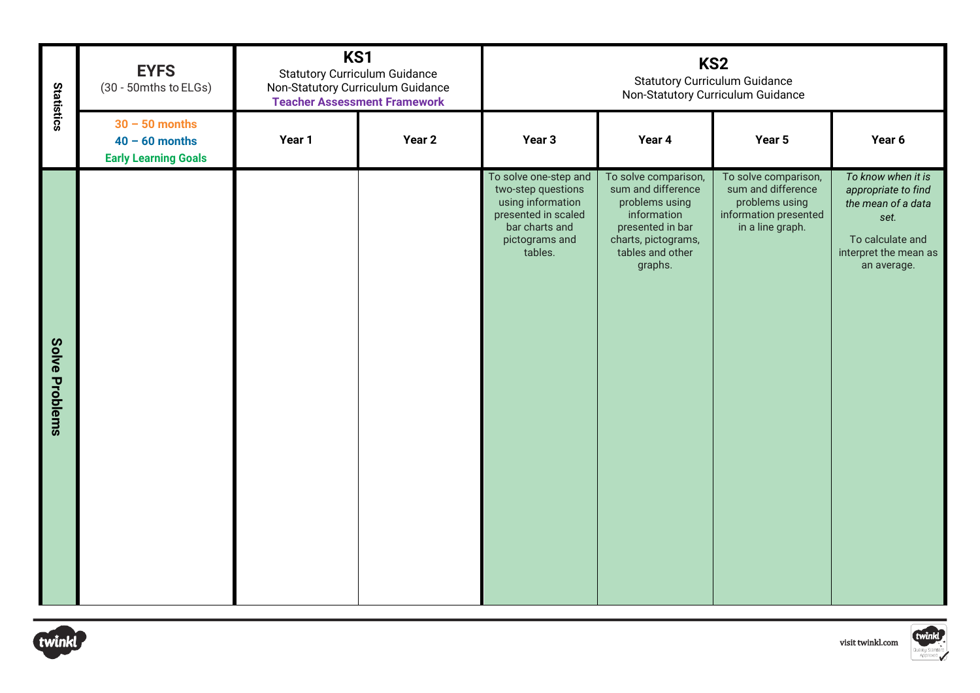| <b>Statistics</b> | <b>EYFS</b><br>(30 - 50mths to ELGs)                                | KS1<br><b>Statutory Curriculum Guidance</b><br>Non-Statutory Curriculum Guidance<br><b>Teacher Assessment Framework</b> |                   |                                                                                                                                        |                                                                                                                                                       | KS <sub>2</sub><br><b>Statutory Curriculum Guidance</b><br>Non-Statutory Curriculum Guidance              |                                                                                                                                     |  |
|-------------------|---------------------------------------------------------------------|-------------------------------------------------------------------------------------------------------------------------|-------------------|----------------------------------------------------------------------------------------------------------------------------------------|-------------------------------------------------------------------------------------------------------------------------------------------------------|-----------------------------------------------------------------------------------------------------------|-------------------------------------------------------------------------------------------------------------------------------------|--|
|                   | $30 - 50$ months<br>$40 - 60$ months<br><b>Early Learning Goals</b> | Year 1                                                                                                                  | Year <sub>2</sub> | Year 3                                                                                                                                 | Year 4                                                                                                                                                | Year 5                                                                                                    | Year 6                                                                                                                              |  |
| Solve Problems    |                                                                     |                                                                                                                         |                   | To solve one-step and<br>two-step questions<br>using information<br>presented in scaled<br>bar charts and<br>pictograms and<br>tables. | To solve comparison,<br>sum and difference<br>problems using<br>information<br>presented in bar<br>charts, pictograms,<br>tables and other<br>graphs. | To solve comparison,<br>sum and difference<br>problems using<br>information presented<br>in a line graph. | To know when it is<br>appropriate to find<br>the mean of a data<br>set.<br>To calculate and<br>interpret the mean as<br>an average. |  |
| twinkl            | twinkl<br>visit twinkl.com                                          |                                                                                                                         |                   |                                                                                                                                        |                                                                                                                                                       |                                                                                                           |                                                                                                                                     |  |